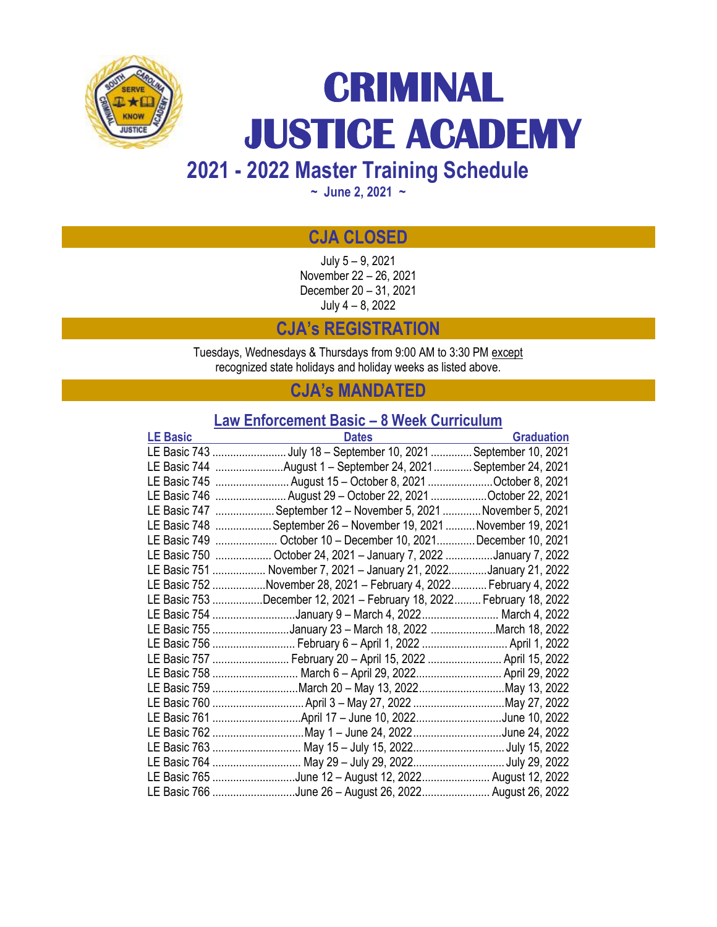

# **CRIMINAL JUSTICE ACADEMY**

**2021 - 2022 Master Training Schedule** 

**~ June 2, 2021 ~**

# **CJA CLOSED**

July 5 – 9, 2021 November 22 – 26, 2021 December 20 – 31, 2021 July 4 – 8, 2022

**CJA's REGISTRATION**

Tuesdays, Wednesdays & Thursdays from 9:00 AM to 3:30 PM except recognized state holidays and holiday weeks as listed above.

# **CJA's MANDATED**

# **Law Enforcement Basic – 8 Week Curriculum**

| <b>LE Basic</b> | <b>Dates</b>                                                          | <b>Graduation</b> |
|-----------------|-----------------------------------------------------------------------|-------------------|
|                 | LE Basic 743 July 18 - September 10, 2021 September 10, 2021          |                   |
|                 | LE Basic 744 August 1 - September 24, 2021 September 24, 2021         |                   |
|                 | LE Basic 745  August 15 - October 8, 2021 October 8, 2021             |                   |
|                 | LE Basic 746 August 29 - October 22, 2021 October 22, 2021            |                   |
|                 | LE Basic 747  September 12 - November 5, 2021  November 5, 2021       |                   |
|                 | LE Basic 748 September 26 - November 19, 2021  November 19, 2021      |                   |
|                 | LE Basic 749  October 10 - December 10, 2021December 10, 2021         |                   |
|                 | LE Basic 750  October 24, 2021 - January 7, 2022 January 7, 2022      |                   |
|                 | LE Basic 751  November 7, 2021 - January 21, 2022January 21, 2022     |                   |
|                 | LE Basic 752 November 28, 2021 - February 4, 2022  February 4, 2022   |                   |
|                 | LE Basic 753 December 12, 2021 - February 18, 2022  February 18, 2022 |                   |
|                 | LE Basic 754 January 9 - March 4, 2022 March 4, 2022                  |                   |
|                 | LE Basic 755 January 23 - March 18, 2022 March 18, 2022               |                   |
|                 | LE Basic 756  February 6 - April 1, 2022  April 1, 2022               |                   |
|                 | LE Basic 757  February 20 - April 15, 2022  April 15, 2022            |                   |
|                 | LE Basic 758  March 6 - April 29, 2022 April 29, 2022                 |                   |
|                 | LE Basic 759 March 20 - May 13, 2022 May 13, 2022                     |                   |
|                 | LE Basic 760  April 3 - May 27, 2022 May 27, 2022                     |                   |
|                 | LE Basic 761 April 17 - June 10, 2022June 10, 2022                    |                   |
|                 | LE Basic 762 May 1 - June 24, 2022 June 24, 2022                      |                   |
|                 |                                                                       |                   |
|                 | LE Basic 764  May 29 - July 29, 2022 July 29, 2022                    |                   |
|                 | LE Basic 765 June 12 - August 12, 2022 August 12, 2022                |                   |
|                 | LE Basic 766 June 26 - August 26, 2022 August 26, 2022                |                   |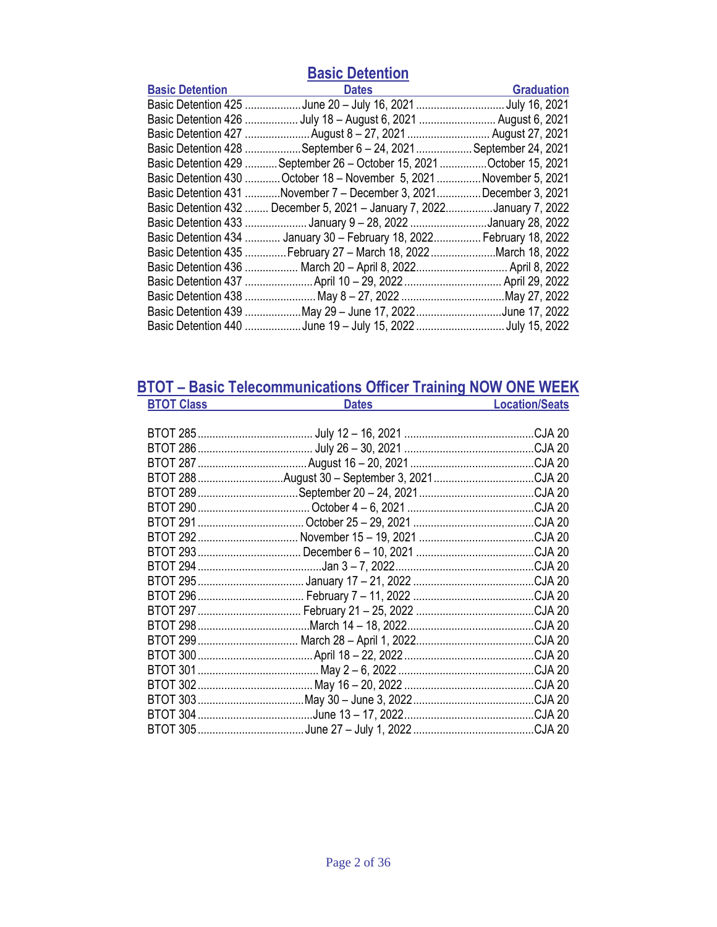| <b>Basic Detention</b> |
|------------------------|
|------------------------|

| <b>Basic Detention</b> | <b>Dates</b>                                                           | <b>Graduation</b>  |
|------------------------|------------------------------------------------------------------------|--------------------|
|                        |                                                                        |                    |
|                        | Basic Detention 426  July 18 - August 6, 2021  August 6, 2021          |                    |
|                        | Basic Detention 427 August 8 – 27, 2021  August 27, 2021               |                    |
|                        | Basic Detention 428 September 6 - 24, 2021                             | September 24, 2021 |
|                        | Basic Detention 429  September 26 - October 15, 2021  October 15, 2021 |                    |
|                        | Basic Detention 430 October 18 - November 5, 2021 November 5, 2021     |                    |
|                        | Basic Detention 431 November 7 - December 3, 2021December 3, 2021      |                    |
| Basic Detention 432    | December 5, 2021 - January 7, 2022January 7, 2022                      |                    |
|                        | Basic Detention 433  January 9 - 28, 2022 January 28, 2022             |                    |
|                        | Basic Detention 434  January 30 - February 18, 2022 February 18, 2022  |                    |
|                        | Basic Detention 435 February 27 - March 18, 2022 March 18, 2022        |                    |
|                        | Basic Detention 436  March 20 - April 8, 2022 April 8, 2022            |                    |
|                        |                                                                        |                    |
|                        |                                                                        |                    |
|                        | Basic Detention 439 May 29 - June 17, 2022 June 17, 2022               |                    |
|                        | Basic Detention 440 June 19 - July 15, 2022 July 15, 2022              |                    |

### **BTOT – Basic Telecommunications Officer Training NOW ONE WEEK BTOT Class Dates Dates Location/Seats**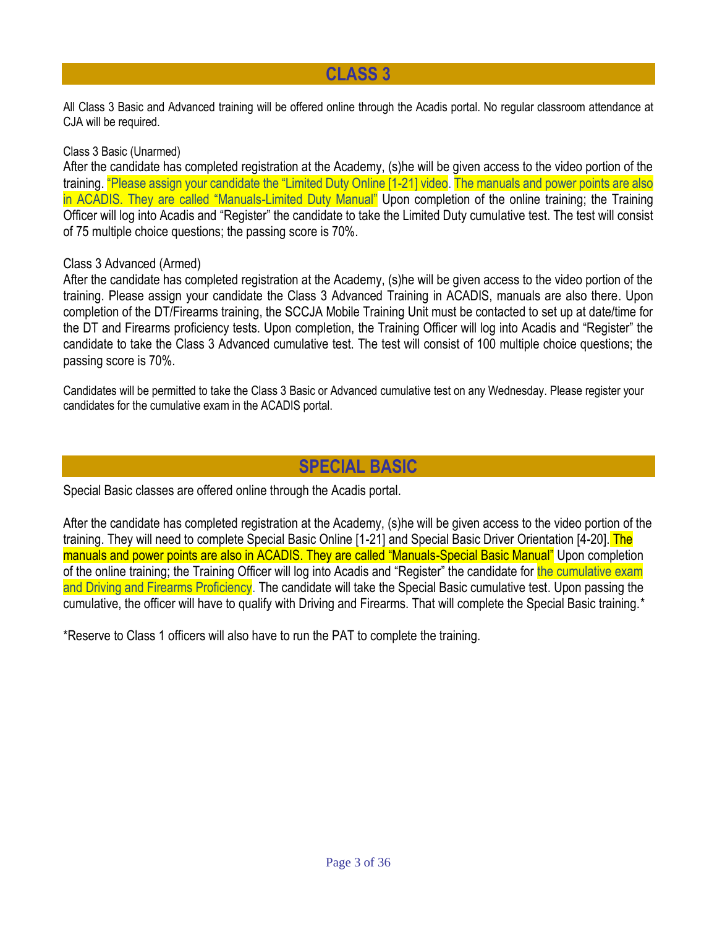# **CLASS 3**

All Class 3 Basic and Advanced training will be offered online through the Acadis portal. No regular classroom attendance at CJA will be required.

### Class 3 Basic (Unarmed)

After the candidate has completed registration at the Academy, (s)he will be given access to the video portion of the training. "Please assign your candidate the "Limited Duty Online [1-21] video. The manuals and power points are also in ACADIS. They are called "Manuals-Limited Duty Manual" Upon completion of the online training; the Training Officer will log into Acadis and "Register" the candidate to take the Limited Duty cumulative test. The test will consist of 75 multiple choice questions; the passing score is 70%.

### Class 3 Advanced (Armed)

After the candidate has completed registration at the Academy, (s)he will be given access to the video portion of the training. Please assign your candidate the Class 3 Advanced Training in ACADIS, manuals are also there. Upon completion of the DT/Firearms training, the SCCJA Mobile Training Unit must be contacted to set up at date/time for the DT and Firearms proficiency tests. Upon completion, the Training Officer will log into Acadis and "Register" the candidate to take the Class 3 Advanced cumulative test. The test will consist of 100 multiple choice questions; the passing score is 70%.

Candidates will be permitted to take the Class 3 Basic or Advanced cumulative test on any Wednesday. Please register your candidates for the cumulative exam in the ACADIS portal.

# **SPECIAL BASIC**

Special Basic classes are offered online through the Acadis portal.

After the candidate has completed registration at the Academy, (s)he will be given access to the video portion of the training. They will need to complete Special Basic Online [1-21] and Special Basic Driver Orientation [4-20]. The manuals and power points are also in ACADIS. They are called "Manuals-Special Basic Manual" Upon completion of the online training; the Training Officer will log into Acadis and "Register" the candidate for the cumulative exam and Driving and Firearms Proficiency. The candidate will take the Special Basic cumulative test. Upon passing the cumulative, the officer will have to qualify with Driving and Firearms. That will complete the Special Basic training.\*

\*Reserve to Class 1 officers will also have to run the PAT to complete the training.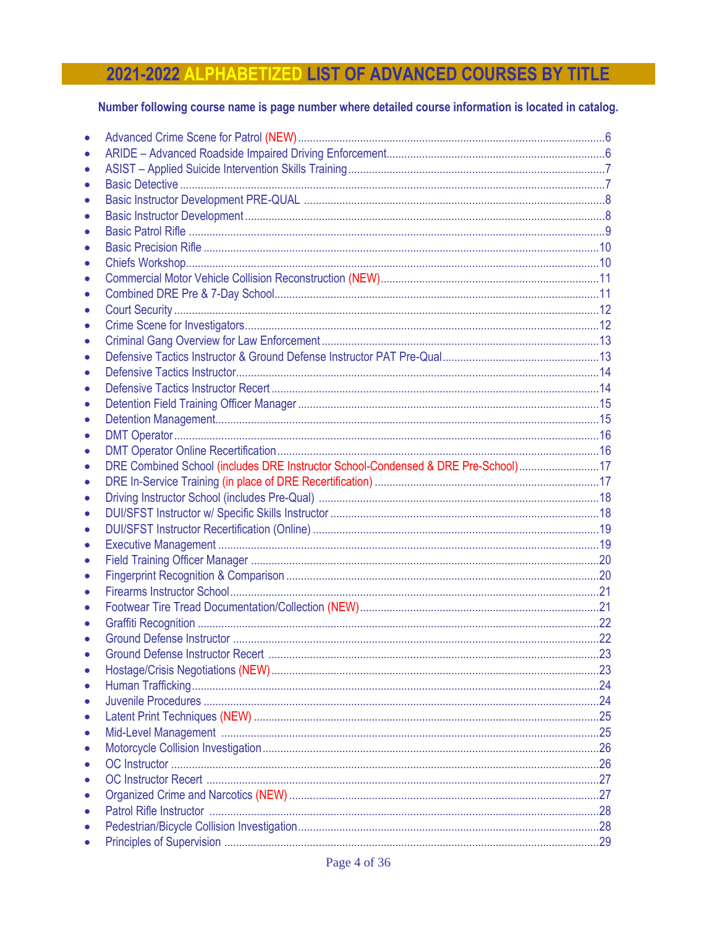# 2021-2022 ALPHABETIZED LIST OF ADVANCED COURSES BY TITLE

### Number following course name is page number where detailed course information is located in catalog.

| DRE Combined School (includes DRE Instructor School-Condensed & DRE Pre-School)17 |  |
|-----------------------------------------------------------------------------------|--|
|                                                                                   |  |
|                                                                                   |  |
|                                                                                   |  |
|                                                                                   |  |
|                                                                                   |  |
|                                                                                   |  |
|                                                                                   |  |
|                                                                                   |  |
|                                                                                   |  |
|                                                                                   |  |
|                                                                                   |  |
|                                                                                   |  |
|                                                                                   |  |
|                                                                                   |  |
|                                                                                   |  |
|                                                                                   |  |
|                                                                                   |  |
|                                                                                   |  |
|                                                                                   |  |
|                                                                                   |  |
|                                                                                   |  |
|                                                                                   |  |
|                                                                                   |  |
|                                                                                   |  |
|                                                                                   |  |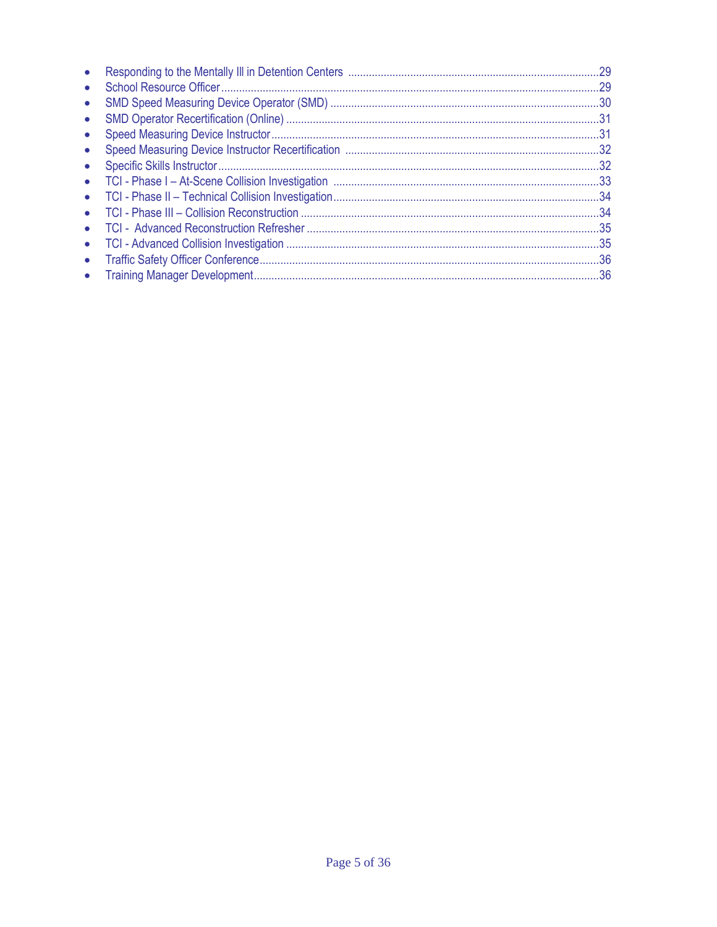|           | .29 |
|-----------|-----|
| $\bullet$ | .29 |
|           |     |
| $\bullet$ | .31 |
|           | .31 |
|           |     |
| $\bullet$ |     |
| $\bullet$ |     |
| $\bullet$ |     |
|           | .34 |
| $\bullet$ |     |
| $\bullet$ |     |
| $\bullet$ |     |
|           | .36 |
|           |     |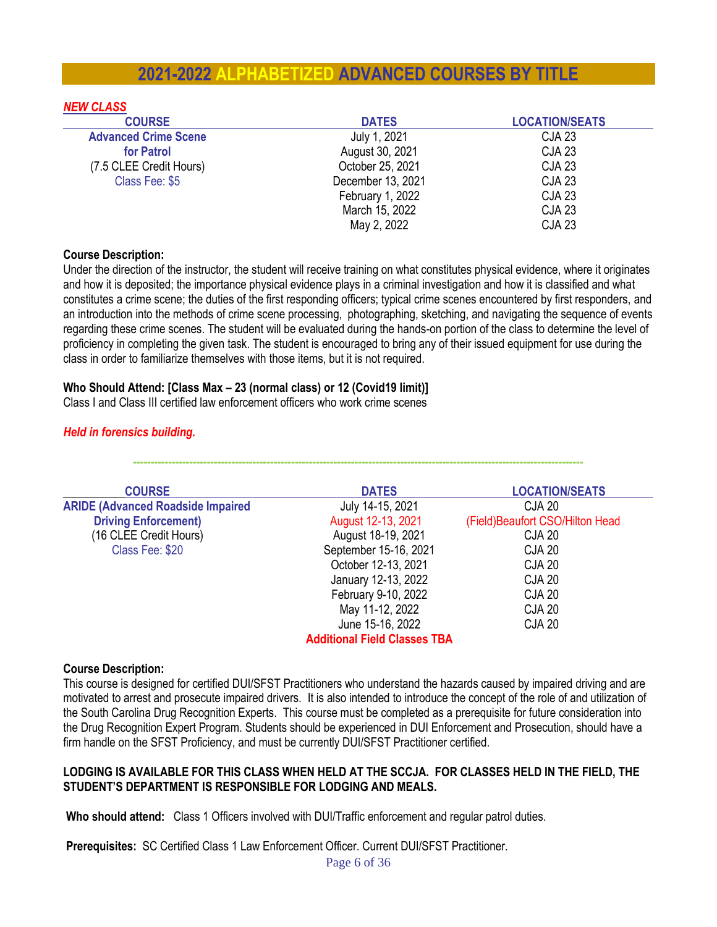# **2021-2022 ALPHABETIZED ADVANCED COURSES BY TITLE**

| <b>NEW CLASS</b>            |                   |                       |
|-----------------------------|-------------------|-----------------------|
| <b>COURSE</b>               | <b>DATES</b>      | <b>LOCATION/SEATS</b> |
| <b>Advanced Crime Scene</b> | July 1, 2021      | CJA 23                |
| for Patrol                  | August 30, 2021   | <b>CJA 23</b>         |
| (7.5 CLEE Credit Hours)     | October 25, 2021  | <b>CJA 23</b>         |
| Class Fee: \$5              | December 13, 2021 | <b>CJA 23</b>         |
|                             | February 1, 2022  | <b>CJA 23</b>         |
|                             | March 15, 2022    | <b>CJA 23</b>         |
|                             | May 2, 2022       | <b>CJA 23</b>         |

#### **Course Description:**

Under the direction of the instructor, the student will receive training on what constitutes physical evidence, where it originates and how it is deposited; the importance physical evidence plays in a criminal investigation and how it is classified and what constitutes a crime scene; the duties of the first responding officers; typical crime scenes encountered by first responders, and an introduction into the methods of crime scene processing, photographing, sketching, and navigating the sequence of events regarding these crime scenes. The student will be evaluated during the hands-on portion of the class to determine the level of proficiency in completing the given task. The student is encouraged to bring any of their issued equipment for use during the class in order to familiarize themselves with those items, but it is not required.

#### **Who Should Attend: [Class Max – 23 (normal class) or 12 (Covid19 limit)]**

Class I and Class III certified law enforcement officers who work crime scenes

### *Held in forensics building.*

| <b>COURSE</b>                            | <b>DATES</b>                        | <b>LOCATION/SEATS</b>            |
|------------------------------------------|-------------------------------------|----------------------------------|
| <b>ARIDE (Advanced Roadside Impaired</b> | July 14-15, 2021                    | CJA 20                           |
| <b>Driving Enforcement)</b>              | August 12-13, 2021                  | (Field) Beaufort CSO/Hilton Head |
| (16 CLEE Credit Hours)                   | August 18-19, 2021                  | <b>CJA 20</b>                    |
| Class Fee: \$20                          | September 15-16, 2021               | <b>CJA 20</b>                    |
|                                          | October 12-13, 2021                 | <b>CJA 20</b>                    |
|                                          | January 12-13, 2022                 | <b>CJA 20</b>                    |
|                                          | February 9-10, 2022                 | <b>CJA 20</b>                    |
|                                          | May 11-12, 2022                     | CJA 20                           |
|                                          | June 15-16, 2022                    | <b>CJA 20</b>                    |
|                                          | <b>Additional Field Classes TBA</b> |                                  |

**--------------------------------------------------------------------------------------------------------------------------------**

#### **Course Description:**

This course is designed for certified DUI/SFST Practitioners who understand the hazards caused by impaired driving and are motivated to arrest and prosecute impaired drivers. It is also intended to introduce the concept of the role of and utilization of the South Carolina Drug Recognition Experts. This course must be completed as a prerequisite for future consideration into the Drug Recognition Expert Program. Students should be experienced in DUI Enforcement and Prosecution, should have a firm handle on the SFST Proficiency, and must be currently DUI/SFST Practitioner certified.

#### **LODGING IS AVAILABLE FOR THIS CLASS WHEN HELD AT THE SCCJA. FOR CLASSES HELD IN THE FIELD, THE STUDENT'S DEPARTMENT IS RESPONSIBLE FOR LODGING AND MEALS.**

**Who should attend:** Class 1 Officers involved with DUI/Traffic enforcement and regular patrol duties.

**Prerequisites:** SC Certified Class 1 Law Enforcement Officer. Current DUI/SFST Practitioner.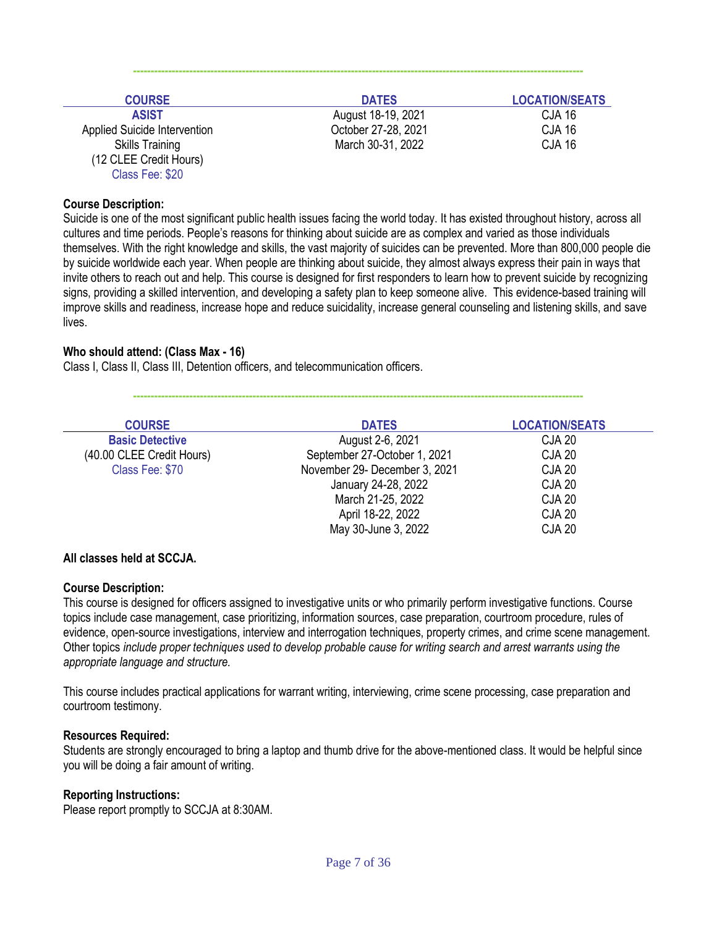| <b>COURSE</b>                | <b>DATES</b>        | <b>LOCATION/SEATS</b> |
|------------------------------|---------------------|-----------------------|
| <b>ASIST</b>                 | August 18-19, 2021  | <b>CJA 16</b>         |
| Applied Suicide Intervention | October 27-28, 2021 | <b>CJA 16</b>         |
| <b>Skills Training</b>       | March 30-31, 2022   | <b>CJA 16</b>         |
| (12 CLEE Credit Hours)       |                     |                       |
| Class Fee: \$20              |                     |                       |

**--------------------------------------------------------------------------------------------------------------------------------**

#### **Course Description:**

Suicide is one of the most significant public health issues facing the world today. It has existed throughout history, across all cultures and time periods. People's reasons for thinking about suicide are as complex and varied as those individuals themselves. With the right knowledge and skills, the vast majority of suicides can be prevented. More than 800,000 people die by suicide worldwide each year. When people are thinking about suicide, they almost always express their pain in ways that invite others to reach out and help. This course is designed for first responders to learn how to prevent suicide by recognizing signs, providing a skilled intervention, and developing a safety plan to keep someone alive. This evidence-based training will improve skills and readiness, increase hope and reduce suicidality, increase general counseling and listening skills, and save lives.

#### **Who should attend: (Class Max - 16)**

Class I, Class II, Class III, Detention officers, and telecommunication officers.

**--------------------------------------------------------------------------------------------------------------------------------**

| <b>COURSE</b>             | <b>DATES</b>                  | <b>LOCATION/SEATS</b> |
|---------------------------|-------------------------------|-----------------------|
| <b>Basic Detective</b>    | August 2-6, 2021              | <b>CJA 20</b>         |
| (40.00 CLEE Credit Hours) | September 27-October 1, 2021  | <b>CJA 20</b>         |
| Class Fee: \$70           | November 29- December 3, 2021 | <b>CJA 20</b>         |
|                           | January 24-28, 2022           | <b>CJA 20</b>         |
|                           | March 21-25, 2022             | <b>CJA 20</b>         |
|                           | April 18-22, 2022             | <b>CJA 20</b>         |
|                           | May 30-June 3, 2022           | <b>CJA 20</b>         |

#### **All classes held at SCCJA.**

#### **Course Description:**

This course is designed for officers assigned to investigative units or who primarily perform investigative functions. Course topics include case management, case prioritizing, information sources, case preparation, courtroom procedure, rules of evidence, open-source investigations, interview and interrogation techniques, property crimes, and crime scene management. Other topics *include proper techniques used to develop probable cause for writing search and arrest warrants using the appropriate language and structure.* 

This course includes practical applications for warrant writing, interviewing, crime scene processing, case preparation and courtroom testimony.

#### **Resources Required:**

Students are strongly encouraged to bring a laptop and thumb drive for the above-mentioned class. It would be helpful since you will be doing a fair amount of writing.

#### **Reporting Instructions:**

Please report promptly to SCCJA at 8:30AM.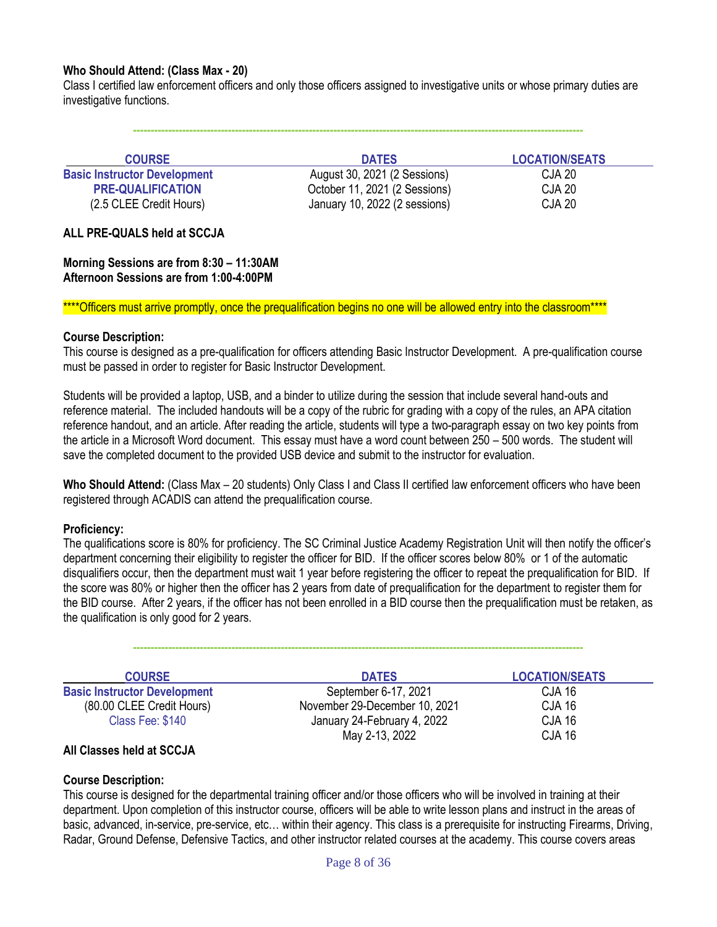#### **Who Should Attend: (Class Max - 20)**

Class I certified law enforcement officers and only those officers assigned to investigative units or whose primary duties are investigative functions.

**COURSE DATES LOCATION/SEATS Basic Instructor Development** August 30, 2021 (2 Sessions) CJA 20 **PRE-QUALIFICATION CORPORE:** October 11, 2021 (2 Sessions) **CJA 20** (2.5 CLEE Credit Hours) January 10, 2022 (2 sessions) CJA 20

**--------------------------------------------------------------------------------------------------------------------------------**

#### **ALL PRE-QUALS held at SCCJA**

**Morning Sessions are from 8:30 – 11:30AM Afternoon Sessions are from 1:00-4:00PM**

\*\*\*\*Officers must arrive promptly, once the prequalification begins no one will be allowed entry into the classroom\*\*\*\*

#### **Course Description:**

This course is designed as a pre-qualification for officers attending Basic Instructor Development. A pre-qualification course must be passed in order to register for Basic Instructor Development.

Students will be provided a laptop, USB, and a binder to utilize during the session that include several hand-outs and reference material. The included handouts will be a copy of the rubric for grading with a copy of the rules, an APA citation reference handout, and an article. After reading the article, students will type a two-paragraph essay on two key points from the article in a Microsoft Word document. This essay must have a word count between 250 – 500 words. The student will save the completed document to the provided USB device and submit to the instructor for evaluation.

Who Should Attend: (Class Max – 20 students) Only Class I and Class II certified law enforcement officers who have been registered through ACADIS can attend the prequalification course.

#### **Proficiency:**

The qualifications score is 80% for proficiency. The SC Criminal Justice Academy Registration Unit will then notify the officer's department concerning their eligibility to register the officer for BID. If the officer scores below 80% or 1 of the automatic disqualifiers occur, then the department must wait 1 year before registering the officer to repeat the prequalification for BID. If the score was 80% or higher then the officer has 2 years from date of prequalification for the department to register them for the BID course. After 2 years, if the officer has not been enrolled in a BID course then the prequalification must be retaken, as the qualification is only good for 2 years.

| <b>COURSE</b>                       | <b>DATES</b>                  | <b>LOCATION/SEATS</b> |  |
|-------------------------------------|-------------------------------|-----------------------|--|
| <b>Basic Instructor Development</b> | September 6-17, 2021          | CJA 16                |  |
| (80.00 CLEE Credit Hours)           | November 29-December 10, 2021 | <b>CJA 16</b>         |  |
| Class Fee: \$140                    | January 24-February 4, 2022   | <b>CJA 16</b>         |  |
|                                     | May 2-13, 2022                | <b>CJA 16</b>         |  |

**--------------------------------------------------------------------------------------------------------------------------------**

#### **All Classes held at SCCJA**

#### **Course Description:**

This course is designed for the departmental training officer and/or those officers who will be involved in training at their department. Upon completion of this instructor course, officers will be able to write lesson plans and instruct in the areas of basic, advanced, in-service, pre-service, etc… within their agency. This class is a prerequisite for instructing Firearms, Driving, Radar, Ground Defense, Defensive Tactics, and other instructor related courses at the academy. This course covers areas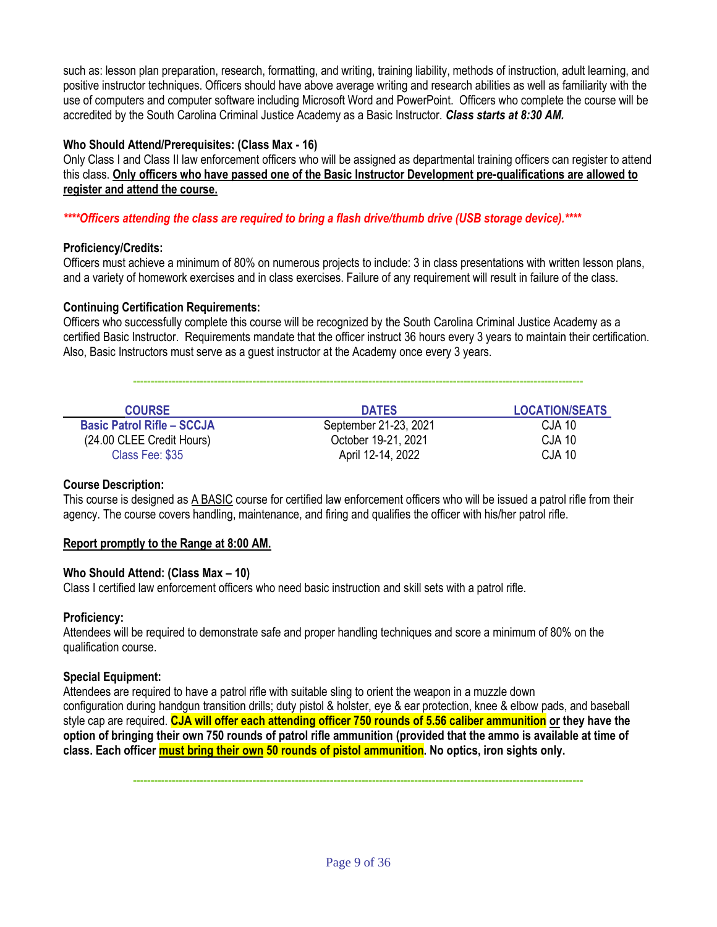such as: lesson plan preparation, research, formatting, and writing, training liability, methods of instruction, adult learning, and positive instructor techniques. Officers should have above average writing and research abilities as well as familiarity with the use of computers and computer software including Microsoft Word and PowerPoint. Officers who complete the course will be accredited by the South Carolina Criminal Justice Academy as a Basic Instructor. *Class starts at 8:30 AM.*

#### **Who Should Attend/Prerequisites: (Class Max - 16)**

Only Class I and Class II law enforcement officers who will be assigned as departmental training officers can register to attend this class. **Only officers who have passed one of the Basic Instructor Development pre-qualifications are allowed to register and attend the course.** 

*\*\*\*\*Officers attending the class are required to bring a flash drive/thumb drive (USB storage device).\*\*\*\**

#### **Proficiency/Credits:**

Officers must achieve a minimum of 80% on numerous projects to include: 3 in class presentations with written lesson plans, and a variety of homework exercises and in class exercises. Failure of any requirement will result in failure of the class.

#### **Continuing Certification Requirements:**

Officers who successfully complete this course will be recognized by the South Carolina Criminal Justice Academy as a certified Basic Instructor. Requirements mandate that the officer instruct 36 hours every 3 years to maintain their certification. Also, Basic Instructors must serve as a guest instructor at the Academy once every 3 years.

**--------------------------------------------------------------------------------------------------------------------------------**

| <b>COURSE</b>                     | <b>DATES</b>          | <b>LOCATION/SEATS</b> |
|-----------------------------------|-----------------------|-----------------------|
| <b>Basic Patrol Rifle - SCCJA</b> | September 21-23, 2021 | CJA 10                |
| (24.00 CLEE Credit Hours)         | October 19-21, 2021   | CJA 10                |
| Class Fee: \$35                   | April 12-14, 2022     | CJA 10                |

#### **Course Description:**

This course is designed as A BASIC course for certified law enforcement officers who will be issued a patrol rifle from their agency. The course covers handling, maintenance, and firing and qualifies the officer with his/her patrol rifle.

#### **Report promptly to the Range at 8:00 AM.**

#### **Who Should Attend: (Class Max – 10)**

Class I certified law enforcement officers who need basic instruction and skill sets with a patrol rifle.

#### **Proficiency:**

Attendees will be required to demonstrate safe and proper handling techniques and score a minimum of 80% on the qualification course.

#### **Special Equipment:**

Attendees are required to have a patrol rifle with suitable sling to orient the weapon in a muzzle down configuration during handgun transition drills; duty pistol & holster, eye & ear protection, knee & elbow pads, and baseball style cap are required. **CJA will offer each attending officer 750 rounds of 5.56 caliber ammunition or they have the option of bringing their own 750 rounds of patrol rifle ammunition (provided that the ammo is available at time of class. Each officer must bring their own 50 rounds of pistol ammunition. No optics, iron sights only.**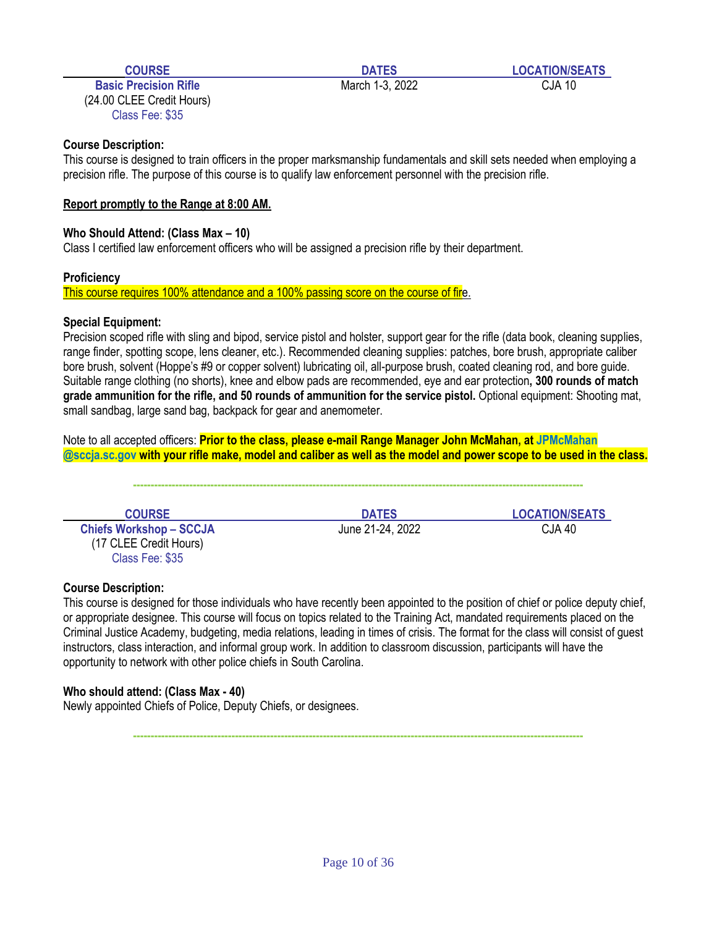**Basic Precision Rifle** March 1-3, 2022 CJA 10 (24.00 CLEE Credit Hours) Class Fee: \$35

#### **Course Description:**

This course is designed to train officers in the proper marksmanship fundamentals and skill sets needed when employing a precision rifle. The purpose of this course is to qualify law enforcement personnel with the precision rifle.

#### **Report promptly to the Range at 8:00 AM.**

#### **Who Should Attend: (Class Max – 10)**

Class I certified law enforcement officers who will be assigned a precision rifle by their department.

#### **Proficiency**

This course requires 100% attendance and a 100% passing score on the course of fire.

#### **Special Equipment:**

Precision scoped rifle with sling and bipod, service pistol and holster, support gear for the rifle (data book, cleaning supplies, range finder, spotting scope, lens cleaner, etc.). Recommended cleaning supplies: patches, bore brush, appropriate caliber bore brush, solvent (Hoppe's #9 or copper solvent) lubricating oil, all-purpose brush, coated cleaning rod, and bore guide. Suitable range clothing (no shorts), knee and elbow pads are recommended, eye and ear protection**, 300 rounds of match grade ammunition for the rifle, and 50 rounds of ammunition for the service pistol.** Optional equipment: Shooting mat, small sandbag, large sand bag, backpack for gear and anemometer.

Note to all accepted officers: **Prior to the class, please e-mail Range Manager John McMahan, at JPMcMahan @sccja.sc.gov with your rifle make, model and caliber as well as the model and power scope to be used in the class.**

**--------------------------------------------------------------------------------------------------------------------------------**

**Chiefs Workshop – SCCJA** June 21-24, 2022 CJA 40 (17 CLEE Credit Hours) Class Fee: \$35

**COURSE DATES LOCATION/SEATS**

#### **Course Description:**

This course is designed for those individuals who have recently been appointed to the position of chief or police deputy chief, or appropriate designee. This course will focus on topics related to the Training Act, mandated requirements placed on the Criminal Justice Academy, budgeting, media relations, leading in times of crisis. The format for the class will consist of guest instructors, class interaction, and informal group work. In addition to classroom discussion, participants will have the opportunity to network with other police chiefs in South Carolina.

#### **Who should attend: (Class Max - 40)**

Newly appointed Chiefs of Police, Deputy Chiefs, or designees.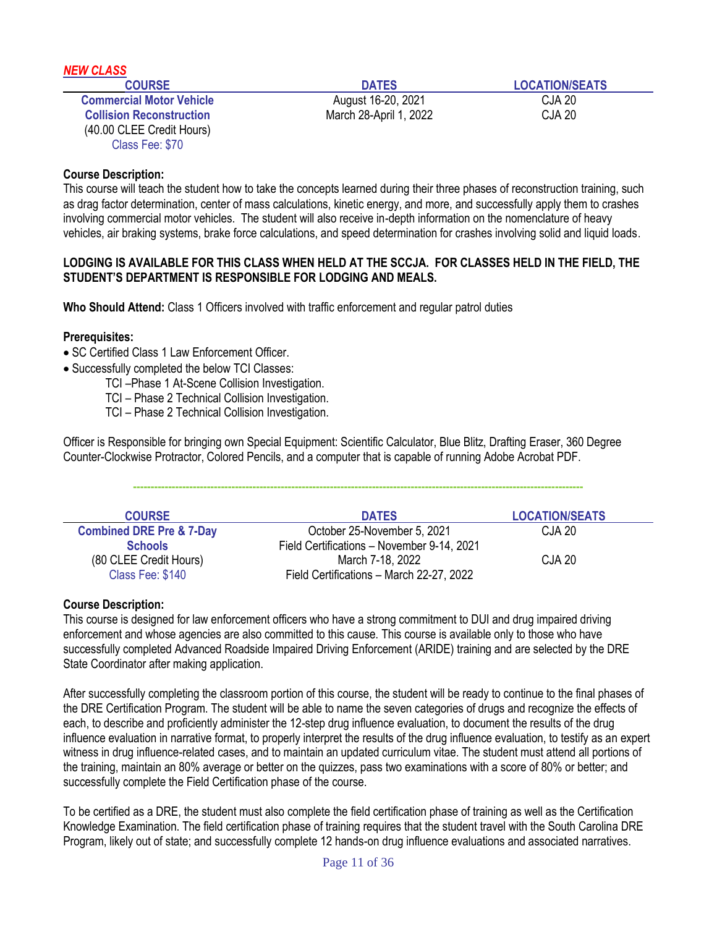| <b>NEW CLASS</b>                |                        |                       |
|---------------------------------|------------------------|-----------------------|
| <b>COURSE</b>                   | <b>DATES</b>           | <b>LOCATION/SEATS</b> |
| <b>Commercial Motor Vehicle</b> | August 16-20, 2021     | CJA 20                |
| <b>Collision Reconstruction</b> | March 28-April 1, 2022 | <b>CJA 20</b>         |
| (40.00 CLEE Credit Hours)       |                        |                       |
| Class Fee: \$70                 |                        |                       |

This course will teach the student how to take the concepts learned during their three phases of reconstruction training, such as drag factor determination, center of mass calculations, kinetic energy, and more, and successfully apply them to crashes involving commercial motor vehicles. The student will also receive in-depth information on the nomenclature of heavy vehicles, air braking systems, brake force calculations, and speed determination for crashes involving solid and liquid loads.

#### **LODGING IS AVAILABLE FOR THIS CLASS WHEN HELD AT THE SCCJA. FOR CLASSES HELD IN THE FIELD, THE STUDENT'S DEPARTMENT IS RESPONSIBLE FOR LODGING AND MEALS.**

**Who Should Attend:** Class 1 Officers involved with traffic enforcement and regular patrol duties

#### **Prerequisites:**

- SC Certified Class 1 Law Enforcement Officer.
- Successfully completed the below TCI Classes:
	- TCI –Phase 1 At-Scene Collision Investigation.
	- TCI Phase 2 Technical Collision Investigation.
	- TCI Phase 2 Technical Collision Investigation.

Officer is Responsible for bringing own Special Equipment: Scientific Calculator, Blue Blitz, Drafting Eraser, 360 Degree Counter-Clockwise Protractor, Colored Pencils, and a computer that is capable of running Adobe Acrobat PDF.

| <b>COURSE</b>                       | <b>DATES</b>                               | <b>LOCATION/SEATS</b> |
|-------------------------------------|--------------------------------------------|-----------------------|
| <b>Combined DRE Pre &amp; 7-Day</b> | October 25-November 5, 2021                | CJA 20                |
| <b>Schools</b>                      | Field Certifications - November 9-14, 2021 |                       |
| (80 CLEE Credit Hours)              | March 7-18, 2022                           | CJA 20                |
| Class Fee: \$140                    | Field Certifications - March 22-27, 2022   |                       |

**--------------------------------------------------------------------------------------------------------------------------------**

#### **Course Description:**

This course is designed for law enforcement officers who have a strong commitment to DUI and drug impaired driving enforcement and whose agencies are also committed to this cause. This course is available only to those who have successfully completed Advanced Roadside Impaired Driving Enforcement (ARIDE) training and are selected by the DRE State Coordinator after making application.

After successfully completing the classroom portion of this course, the student will be ready to continue to the final phases of the DRE Certification Program. The student will be able to name the seven categories of drugs and recognize the effects of each, to describe and proficiently administer the 12-step drug influence evaluation, to document the results of the drug influence evaluation in narrative format, to properly interpret the results of the drug influence evaluation, to testify as an expert witness in drug influence-related cases, and to maintain an updated curriculum vitae. The student must attend all portions of the training, maintain an 80% average or better on the quizzes, pass two examinations with a score of 80% or better; and successfully complete the Field Certification phase of the course.

To be certified as a DRE, the student must also complete the field certification phase of training as well as the Certification Knowledge Examination. The field certification phase of training requires that the student travel with the South Carolina DRE Program, likely out of state; and successfully complete 12 hands-on drug influence evaluations and associated narratives.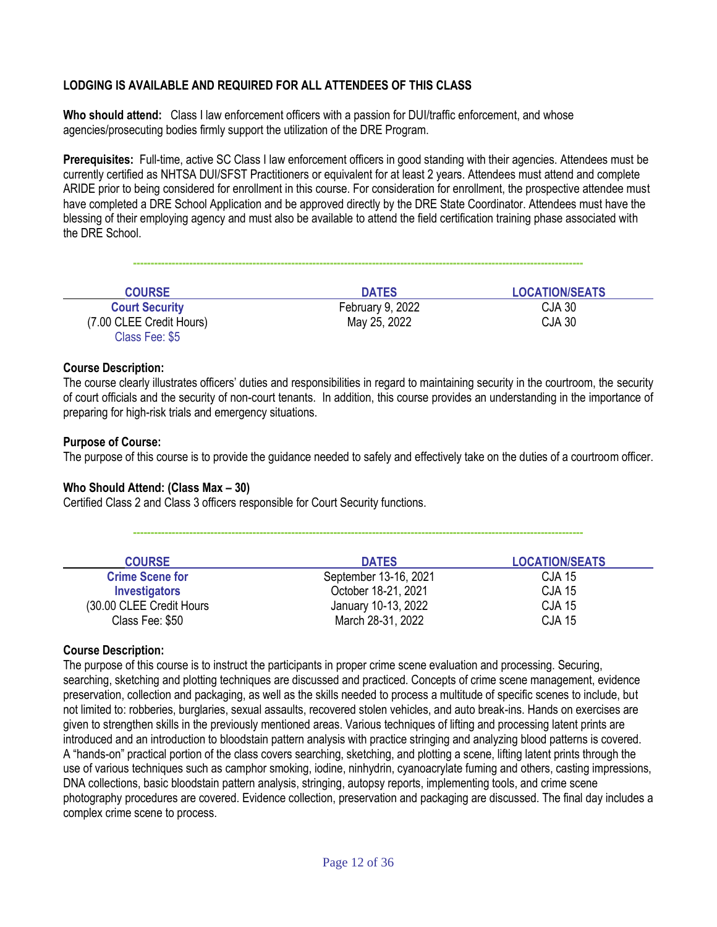### **LODGING IS AVAILABLE AND REQUIRED FOR ALL ATTENDEES OF THIS CLASS**

**Who should attend:** Class I law enforcement officers with a passion for DUI/traffic enforcement, and whose agencies/prosecuting bodies firmly support the utilization of the DRE Program.

**Prerequisites:** Full-time, active SC Class I law enforcement officers in good standing with their agencies. Attendees must be currently certified as NHTSA DUI/SFST Practitioners or equivalent for at least 2 years. Attendees must attend and complete ARIDE prior to being considered for enrollment in this course. For consideration for enrollment, the prospective attendee must have completed a DRE School Application and be approved directly by the DRE State Coordinator. Attendees must have the blessing of their employing agency and must also be available to attend the field certification training phase associated with the DRE School.

| <b>COURSE</b>            | <b>DATES</b>     | <b>LOCATION/SEATS</b> |
|--------------------------|------------------|-----------------------|
| <b>Court Security</b>    | February 9, 2022 | CJA 30                |
| (7.00 CLEE Credit Hours) | May 25, 2022     | CJA 30                |
| Class Fee: \$5           |                  |                       |

**--------------------------------------------------------------------------------------------------------------------------------**

#### **Course Description:**

The course clearly illustrates officers' duties and responsibilities in regard to maintaining security in the courtroom, the security of court officials and the security of non-court tenants. In addition, this course provides an understanding in the importance of preparing for high-risk trials and emergency situations.

#### **Purpose of Course:**

The purpose of this course is to provide the guidance needed to safely and effectively take on the duties of a courtroom officer.

#### **Who Should Attend: (Class Max – 30)**

Certified Class 2 and Class 3 officers responsible for Court Security functions.

| <b>COURSE</b>            | <b>DATES</b>          | <b>LOCATION/SEATS</b> |
|--------------------------|-----------------------|-----------------------|
| <b>Crime Scene for</b>   | September 13-16, 2021 | <b>CJA 15</b>         |
| <b>Investigators</b>     | October 18-21, 2021   | <b>CJA 15</b>         |
| (30.00 CLEE Credit Hours | January 10-13, 2022   | <b>CJA 15</b>         |
| Class Fee: \$50          | March 28-31, 2022     | <b>CJA 15</b>         |

**--------------------------------------------------------------------------------------------------------------------------------**

#### **Course Description:**

The purpose of this course is to instruct the participants in proper crime scene evaluation and processing. Securing, searching, sketching and plotting techniques are discussed and practiced. Concepts of crime scene management, evidence preservation, collection and packaging, as well as the skills needed to process a multitude of specific scenes to include, but not limited to: robberies, burglaries, sexual assaults, recovered stolen vehicles, and auto break-ins. Hands on exercises are given to strengthen skills in the previously mentioned areas. Various techniques of lifting and processing latent prints are introduced and an introduction to bloodstain pattern analysis with practice stringing and analyzing blood patterns is covered. A "hands-on" practical portion of the class covers searching, sketching, and plotting a scene, lifting latent prints through the use of various techniques such as camphor smoking, iodine, ninhydrin, cyanoacrylate fuming and others, casting impressions, DNA collections, basic bloodstain pattern analysis, stringing, autopsy reports, implementing tools, and crime scene photography procedures are covered. Evidence collection, preservation and packaging are discussed. The final day includes a complex crime scene to process.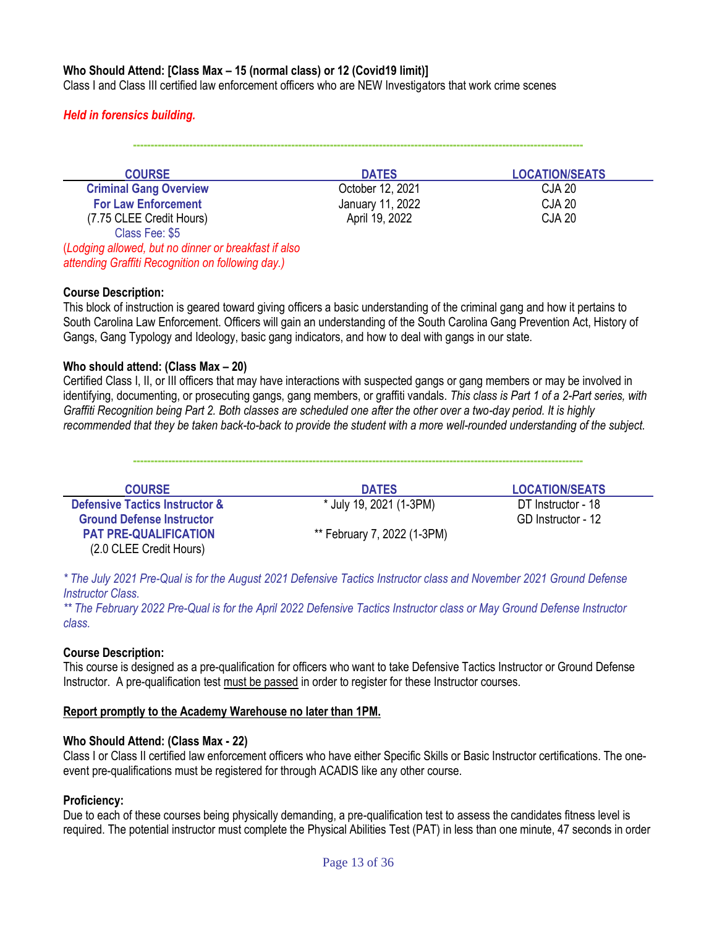#### **Who Should Attend: [Class Max – 15 (normal class) or 12 (Covid19 limit)]**

Class I and Class III certified law enforcement officers who are NEW Investigators that work crime scenes

#### *Held in forensics building.*

**--------------------------------------------------------------------------------------------------------------------------------**

| <b>COURSE</b>                                        | <b>DATES</b>     | <b>LOCATION/SEATS</b> |
|------------------------------------------------------|------------------|-----------------------|
| <b>Criminal Gang Overview</b>                        | October 12, 2021 | CJA 20                |
| <b>For Law Enforcement</b>                           | January 11, 2022 | <b>CJA 20</b>         |
| (7.75 CLEE Credit Hours)                             | April 19, 2022   | <b>CJA 20</b>         |
| Class Fee: \$5                                       |                  |                       |
| (Lodging allowed, but no dinner or breakfast if also |                  |                       |

*attending Graffiti Recognition on following day.)*

#### **Course Description:**

This block of instruction is geared toward giving officers a basic understanding of the criminal gang and how it pertains to South Carolina Law Enforcement. Officers will gain an understanding of the South Carolina Gang Prevention Act, History of Gangs, Gang Typology and Ideology, basic gang indicators, and how to deal with gangs in our state.

#### **Who should attend: (Class Max – 20)**

Certified Class I, II, or III officers that may have interactions with suspected gangs or gang members or may be involved in identifying, documenting, or prosecuting gangs, gang members, or graffiti vandals. *This class is Part 1 of a 2-Part series, with Graffiti Recognition being Part 2. Both classes are scheduled one after the other over a two-day period. It is highly recommended that they be taken back-to-back to provide the student with a more well-rounded understanding of the subject.*

**--------------------------------------------------------------------------------------------------------------------------------**

| <b>COURSE</b>                             | <b>DATES</b>                | <b>LOCATION/SEATS</b> |
|-------------------------------------------|-----------------------------|-----------------------|
| <b>Defensive Tactics Instructor &amp;</b> | * July 19, 2021 (1-3PM)     | DT Instructor - 18    |
| <b>Ground Defense Instructor</b>          |                             | GD Instructor - 12    |
| <b>PAT PRE-QUALIFICATION</b>              | ** February 7, 2022 (1-3PM) |                       |
| (2.0 CLEE Credit Hours)                   |                             |                       |

*\* The July 2021 Pre-Qual is for the August 2021 Defensive Tactics Instructor class and November 2021 Ground Defense Instructor Class.*

*\*\* The February 2022 Pre-Qual is for the April 2022 Defensive Tactics Instructor class or May Ground Defense Instructor class.*

#### **Course Description:**

This course is designed as a pre-qualification for officers who want to take Defensive Tactics Instructor or Ground Defense Instructor. A pre-qualification test must be passed in order to register for these Instructor courses.

#### **Report promptly to the Academy Warehouse no later than 1PM.**

#### **Who Should Attend: (Class Max - 22)**

Class I or Class II certified law enforcement officers who have either Specific Skills or Basic Instructor certifications. The oneevent pre-qualifications must be registered for through ACADIS like any other course.

#### **Proficiency:**

Due to each of these courses being physically demanding, a pre-qualification test to assess the candidates fitness level is required. The potential instructor must complete the Physical Abilities Test (PAT) in less than one minute, 47 seconds in order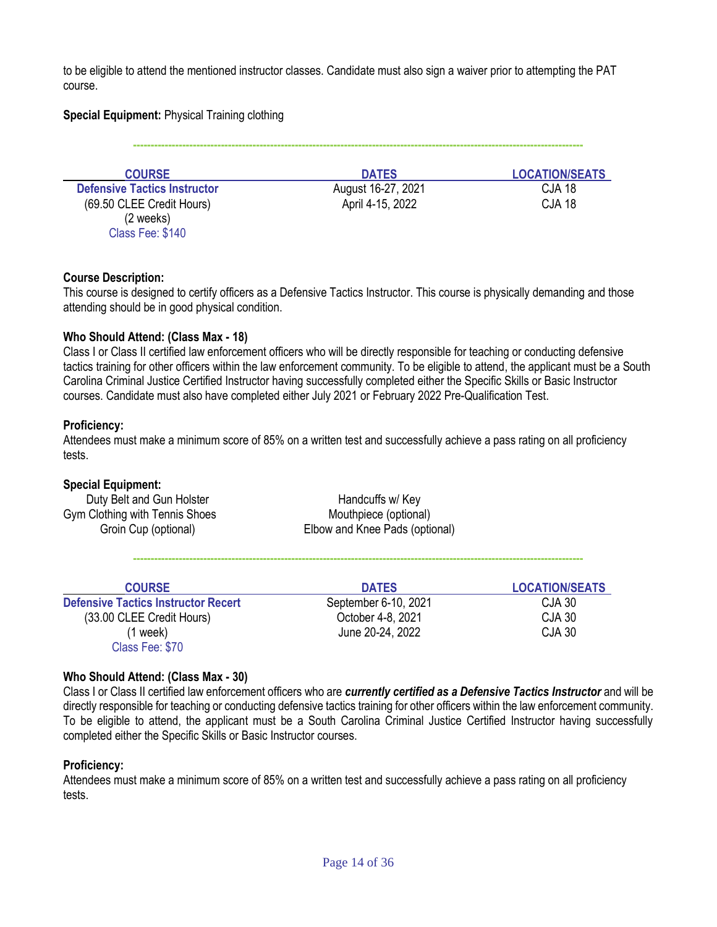to be eligible to attend the mentioned instructor classes. Candidate must also sign a waiver prior to attempting the PAT course.

#### **Special Equipment:** Physical Training clothing

**--------------------------------------------------------------------------------------------------------------------------------**

| <b>COURSE</b>                       | <b>DATES</b>       | <b>LOCATION/SEATS</b> |
|-------------------------------------|--------------------|-----------------------|
| <b>Defensive Tactics Instructor</b> | August 16-27, 2021 | CJA 18                |
| (69.50 CLEE Credit Hours)           | April 4-15, 2022   | <b>CJA 18</b>         |
| $(2 \text{ weeks})$                 |                    |                       |
| Class Fee: \$140                    |                    |                       |

#### **Course Description:**

This course is designed to certify officers as a Defensive Tactics Instructor. This course is physically demanding and those attending should be in good physical condition.

#### **Who Should Attend: (Class Max - 18)**

Class I or Class II certified law enforcement officers who will be directly responsible for teaching or conducting defensive tactics training for other officers within the law enforcement community. To be eligible to attend, the applicant must be a South Carolina Criminal Justice Certified Instructor having successfully completed either the Specific Skills or Basic Instructor courses. Candidate must also have completed either July 2021 or February 2022 Pre-Qualification Test.

#### **Proficiency:**

Attendees must make a minimum score of 85% on a written test and successfully achieve a pass rating on all proficiency tests.

#### **Special Equipment:**

Duty Belt and Gun Holster **Handcuffs** w/ Key Gym Clothing with Tennis Shoes Mouthpiece (optional)

Groin Cup (optional) Elbow and Knee Pads (optional)

**--------------------------------------------------------------------------------------------------------------------------------**

| <b>COURSE</b>                              | <b>DATES</b>         | <b>LOCATION/SEATS</b> |
|--------------------------------------------|----------------------|-----------------------|
| <b>Defensive Tactics Instructor Recert</b> | September 6-10, 2021 | CJA 30                |
| (33.00 CLEE Credit Hours)                  | October 4-8, 2021    | CJA 30                |
| (1 week)                                   | June 20-24, 2022     | <b>CJA 30</b>         |
| Class Fee: \$70                            |                      |                       |

#### **Who Should Attend: (Class Max - 30)**

Class I or Class II certified law enforcement officers who are *currently certified as a Defensive Tactics Instructor* and will be directly responsible for teaching or conducting defensive tactics training for other officers within the law enforcement community. To be eligible to attend, the applicant must be a South Carolina Criminal Justice Certified Instructor having successfully completed either the Specific Skills or Basic Instructor courses.

#### **Proficiency:**

Attendees must make a minimum score of 85% on a written test and successfully achieve a pass rating on all proficiency tests.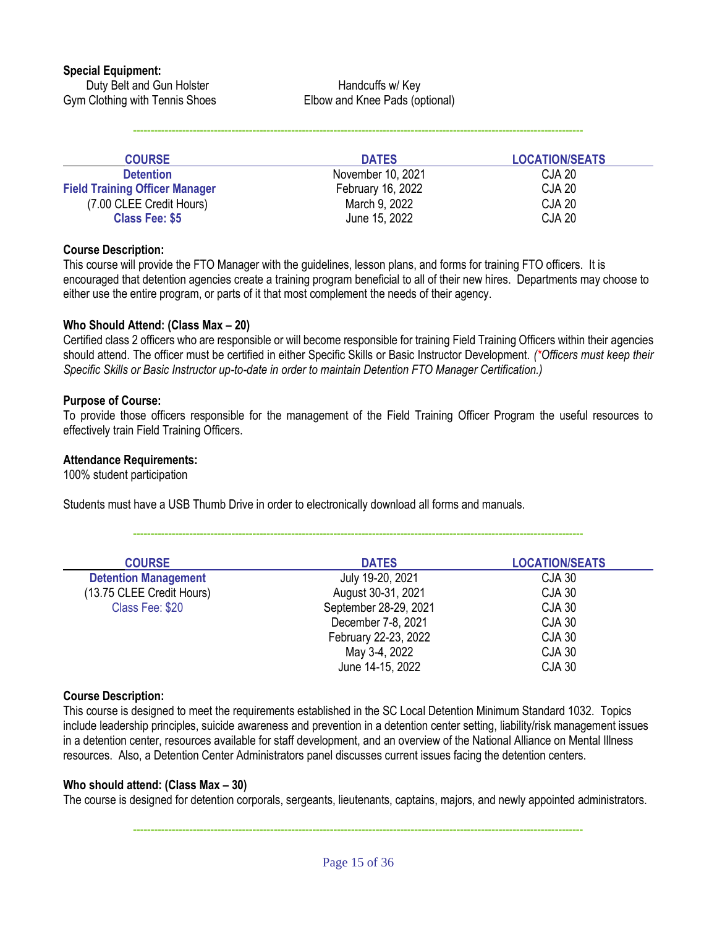Duty Belt and Gun Holster **Handcuffs** w/ Key Gym Clothing with Tennis Shoes Elbow and Knee Pads (optional)

| <b>COURSE</b>                         | <b>DATES</b>      | <b>LOCATION/SEATS</b> |
|---------------------------------------|-------------------|-----------------------|
| <b>Detention</b>                      | November 10, 2021 | <b>CJA 20</b>         |
| <b>Field Training Officer Manager</b> | February 16, 2022 | <b>CJA 20</b>         |
| (7.00 CLEE Credit Hours)              | March 9, 2022     | <b>CJA 20</b>         |
| <b>Class Fee: \$5</b>                 | June 15, 2022     | <b>CJA 20</b>         |

**--------------------------------------------------------------------------------------------------------------------------------**

#### **Course Description:**

This course will provide the FTO Manager with the guidelines, lesson plans, and forms for training FTO officers. It is encouraged that detention agencies create a training program beneficial to all of their new hires. Departments may choose to either use the entire program, or parts of it that most complement the needs of their agency.

#### **Who Should Attend: (Class Max – 20)**

Certified class 2 officers who are responsible or will become responsible for training Field Training Officers within their agencies should attend. The officer must be certified in either Specific Skills or Basic Instructor Development. *(\*Officers must keep their Specific Skills or Basic Instructor up-to-date in order to maintain Detention FTO Manager Certification.)*

#### **Purpose of Course:**

To provide those officers responsible for the management of the Field Training Officer Program the useful resources to effectively train Field Training Officers.

#### **Attendance Requirements:**

100% student participation

Students must have a USB Thumb Drive in order to electronically download all forms and manuals.

**--------------------------------------------------------------------------------------------------------------------------------**

| <b>COURSE</b>               | <b>DATES</b>          | <b>LOCATION/SEATS</b> |
|-----------------------------|-----------------------|-----------------------|
| <b>Detention Management</b> | July 19-20, 2021      | <b>CJA 30</b>         |
| (13.75 CLEE Credit Hours)   | August 30-31, 2021    | <b>CJA 30</b>         |
| Class Fee: \$20             | September 28-29, 2021 | <b>CJA 30</b>         |
|                             | December 7-8, 2021    | <b>CJA 30</b>         |
|                             | February 22-23, 2022  | <b>CJA 30</b>         |
|                             | May 3-4, 2022         | <b>CJA 30</b>         |
|                             | June 14-15, 2022      | <b>CJA 30</b>         |

#### **Course Description:**

This course is designed to meet the requirements established in the SC Local Detention Minimum Standard 1032. Topics include leadership principles, suicide awareness and prevention in a detention center setting, liability/risk management issues in a detention center, resources available for staff development, and an overview of the National Alliance on Mental Illness resources. Also, a Detention Center Administrators panel discusses current issues facing the detention centers.

#### **Who should attend: (Class Max – 30)**

The course is designed for detention corporals, sergeants, lieutenants, captains, majors, and newly appointed administrators.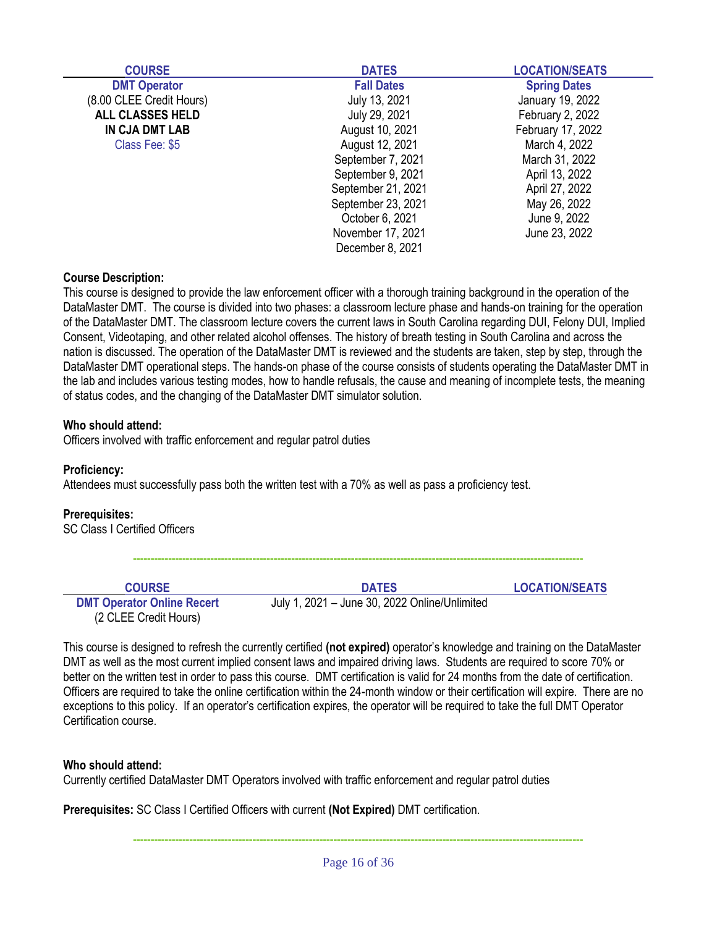| <b>COURSE</b>            | <b>DATES</b>       | <b>LOCATION/SEATS</b> |
|--------------------------|--------------------|-----------------------|
| <b>DMT Operator</b>      | <b>Fall Dates</b>  | <b>Spring Dates</b>   |
| (8.00 CLEE Credit Hours) | July 13, 2021      | January 19, 2022      |
| <b>ALL CLASSES HELD</b>  | July 29, 2021      | February 2, 2022      |
| IN CJA DMT LAB           | August 10, 2021    | February 17, 2022     |
| Class Fee: \$5           | August 12, 2021    | March 4, 2022         |
|                          | September 7, 2021  | March 31, 2022        |
|                          | September 9, 2021  | April 13, 2022        |
|                          | September 21, 2021 | April 27, 2022        |
|                          | September 23, 2021 | May 26, 2022          |
|                          | October 6, 2021    | June 9, 2022          |
|                          | November 17, 2021  | June 23, 2022         |
|                          | December 8, 2021   |                       |

This course is designed to provide the law enforcement officer with a thorough training background in the operation of the DataMaster DMT. The course is divided into two phases: a classroom lecture phase and hands-on training for the operation of the DataMaster DMT. The classroom lecture covers the current laws in South Carolina regarding DUI, Felony DUI, Implied Consent, Videotaping, and other related alcohol offenses. The history of breath testing in South Carolina and across the nation is discussed. The operation of the DataMaster DMT is reviewed and the students are taken, step by step, through the DataMaster DMT operational steps. The hands-on phase of the course consists of students operating the DataMaster DMT in the lab and includes various testing modes, how to handle refusals, the cause and meaning of incomplete tests, the meaning of status codes, and the changing of the DataMaster DMT simulator solution.

#### **Who should attend:**

Officers involved with traffic enforcement and regular patrol duties

#### **Proficiency:**

Attendees must successfully pass both the written test with a 70% as well as pass a proficiency test.

#### **Prerequisites:**

SC Class I Certified Officers

| <b>COURSE</b>                                              | <b>DATES</b>                                  | <b>LOCATION/SEATS</b> |
|------------------------------------------------------------|-----------------------------------------------|-----------------------|
| <b>DMT Operator Online Recert</b><br>(2 CLEE Credit Hours) | July 1, 2021 – June 30, 2022 Online/Unlimited |                       |

**--------------------------------------------------------------------------------------------------------------------------------**

This course is designed to refresh the currently certified **(not expired)** operator's knowledge and training on the DataMaster DMT as well as the most current implied consent laws and impaired driving laws. Students are required to score 70% or better on the written test in order to pass this course. DMT certification is valid for 24 months from the date of certification. Officers are required to take the online certification within the 24-month window or their certification will expire. There are no exceptions to this policy. If an operator's certification expires, the operator will be required to take the full DMT Operator Certification course.

#### **Who should attend:**

Currently certified DataMaster DMT Operators involved with traffic enforcement and regular patrol duties

**Prerequisites:** SC Class I Certified Officers with current **(Not Expired)** DMT certification.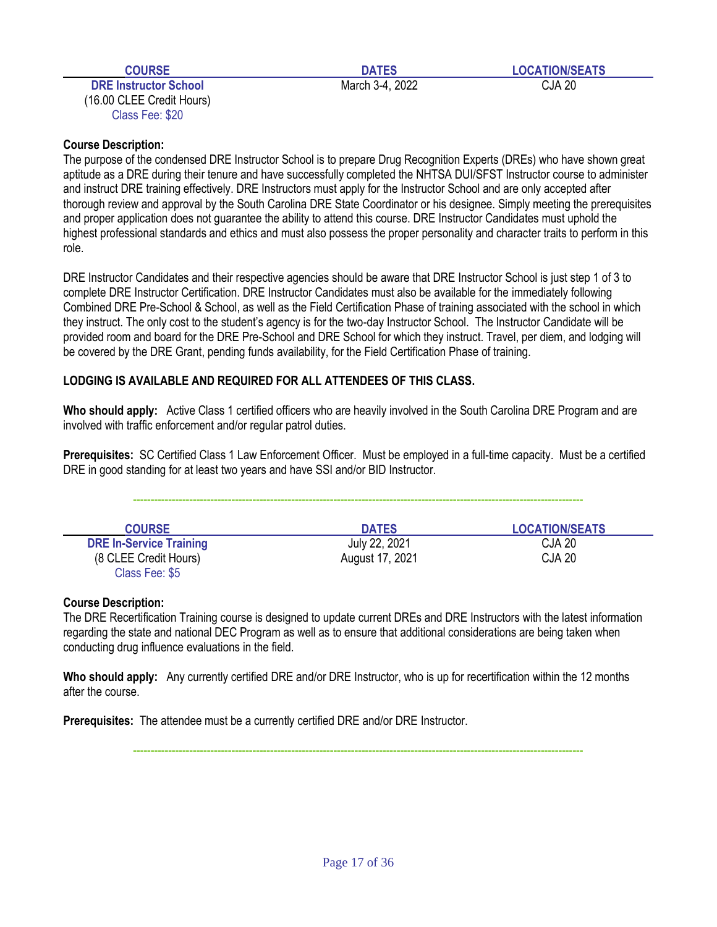**DRE Instructor School CJA 20 CJA 20 CJA 20 CJA 20 CJA 20 CJA 20 CJA 20 CJA 20** (16.00 CLEE Credit Hours) Class Fee: \$20

**COURSE DATES LOCATION/SEATS** 

### **Course Description:**

The purpose of the condensed DRE Instructor School is to prepare Drug Recognition Experts (DREs) who have shown great aptitude as a DRE during their tenure and have successfully completed the NHTSA DUI/SFST Instructor course to administer and instruct DRE training effectively. DRE Instructors must apply for the Instructor School and are only accepted after thorough review and approval by the South Carolina DRE State Coordinator or his designee. Simply meeting the prerequisites and proper application does not guarantee the ability to attend this course. DRE Instructor Candidates must uphold the highest professional standards and ethics and must also possess the proper personality and character traits to perform in this role.

DRE Instructor Candidates and their respective agencies should be aware that DRE Instructor School is just step 1 of 3 to complete DRE Instructor Certification. DRE Instructor Candidates must also be available for the immediately following Combined DRE Pre-School & School, as well as the Field Certification Phase of training associated with the school in which they instruct. The only cost to the student's agency is for the two-day Instructor School. The Instructor Candidate will be provided room and board for the DRE Pre-School and DRE School for which they instruct. Travel, per diem, and lodging will be covered by the DRE Grant, pending funds availability, for the Field Certification Phase of training.

### **LODGING IS AVAILABLE AND REQUIRED FOR ALL ATTENDEES OF THIS CLASS.**

**Who should apply:** Active Class 1 certified officers who are heavily involved in the South Carolina DRE Program and are involved with traffic enforcement and/or regular patrol duties.

**Prerequisites:** SC Certified Class 1 Law Enforcement Officer. Must be employed in a full-time capacity. Must be a certified DRE in good standing for at least two years and have SSI and/or BID Instructor.

| <b>COURSE</b>                  | <b>DATES</b>    | <b>LOCATION/SEATS</b> |
|--------------------------------|-----------------|-----------------------|
| <b>DRE In-Service Training</b> | July 22, 2021   | <b>CJA 20</b>         |
| (8 CLEE Credit Hours)          | August 17, 2021 | <b>CJA 20</b>         |
| Class Fee: \$5                 |                 |                       |

#### **Course Description:**

The DRE Recertification Training course is designed to update current DREs and DRE Instructors with the latest information regarding the state and national DEC Program as well as to ensure that additional considerations are being taken when conducting drug influence evaluations in the field.

**Who should apply:** Any currently certified DRE and/or DRE Instructor, who is up for recertification within the 12 months after the course.

**Prerequisites:** The attendee must be a currently certified DRE and/or DRE Instructor.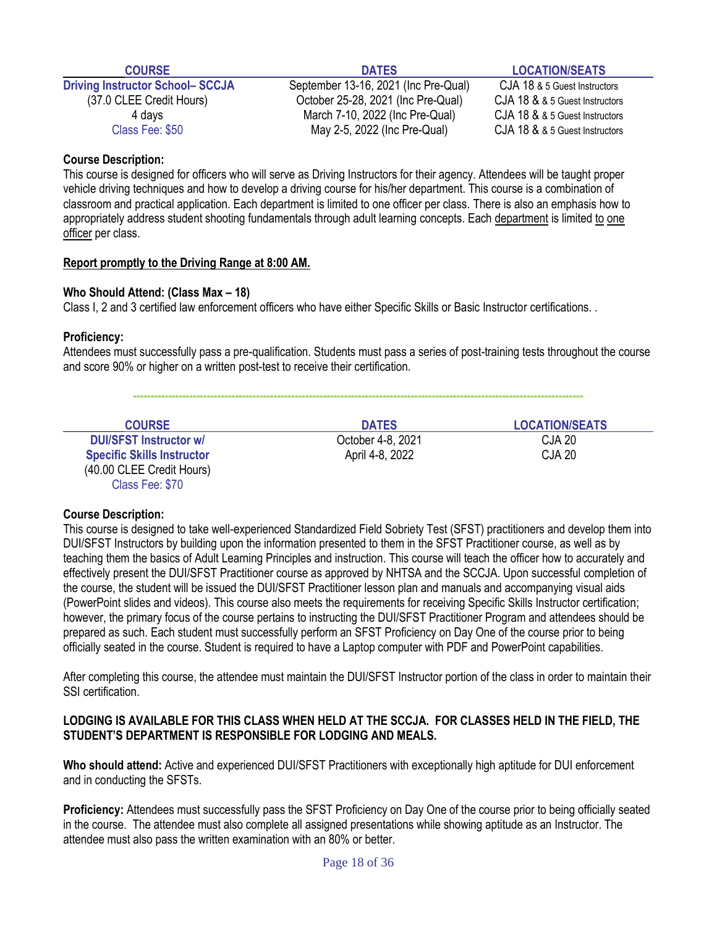| and the state of the state of the state of the state of the state of the state of the state of the state of th |  |
|----------------------------------------------------------------------------------------------------------------|--|
| ш<br>r                                                                                                         |  |
|                                                                                                                |  |
|                                                                                                                |  |

**Driving Instructor School– SCCJA** September 13-16, 2021 (Inc Pre-Qual) CJA 18 & 5 Guest Instructors (37.0 CLEE Credit Hours) October 25-28, 2021 (Inc Pre-Qual) CJA 18 & & 5 Guest Instructors

**COURSE DATES LOCATION/SEATS**

4 days March 7-10, 2022 (Inc Pre-Qual) CJA 18 & & 5 Guest Instructors Class Fee: \$50 May 2-5, 2022 (Inc Pre-Qual) CJA 18 & & 5 Guest Instructors

#### **Course Description:**

This course is designed for officers who will serve as Driving Instructors for their agency. Attendees will be taught proper vehicle driving techniques and how to develop a driving course for his/her department. This course is a combination of classroom and practical application. Each department is limited to one officer per class. There is also an emphasis how to appropriately address student shooting fundamentals through adult learning concepts. Each department is limited to one officer per class.

#### **Report promptly to the Driving Range at 8:00 AM.**

#### **Who Should Attend: (Class Max – 18)**

Class I, 2 and 3 certified law enforcement officers who have either Specific Skills or Basic Instructor certifications. .

#### **Proficiency:**

Attendees must successfully pass a pre-qualification. Students must pass a series of post-training tests throughout the course and score 90% or higher on a written post-test to receive their certification.

**--------------------------------------------------------------------------------------------------------------------------------**

| <b>COURSE</b>                     | <b>DATES</b>      | <b>LOCATION/SEATS</b> |
|-----------------------------------|-------------------|-----------------------|
| <b>DUI/SFST Instructor w/</b>     | October 4-8, 2021 | CJA 20                |
| <b>Specific Skills Instructor</b> | April 4-8, 2022   | CJA 20                |
| (40.00 CLEE Credit Hours)         |                   |                       |
| Class Fee: \$70                   |                   |                       |

#### **Course Description:**

This course is designed to take well-experienced Standardized Field Sobriety Test (SFST) practitioners and develop them into DUI/SFST Instructors by building upon the information presented to them in the SFST Practitioner course, as well as by teaching them the basics of Adult Learning Principles and instruction. This course will teach the officer how to accurately and effectively present the DUI/SFST Practitioner course as approved by NHTSA and the SCCJA. Upon successful completion of the course, the student will be issued the DUI/SFST Practitioner lesson plan and manuals and accompanying visual aids (PowerPoint slides and videos). This course also meets the requirements for receiving Specific Skills Instructor certification; however, the primary focus of the course pertains to instructing the DUI/SFST Practitioner Program and attendees should be prepared as such. Each student must successfully perform an SFST Proficiency on Day One of the course prior to being officially seated in the course. Student is required to have a Laptop computer with PDF and PowerPoint capabilities.

After completing this course, the attendee must maintain the DUI/SFST Instructor portion of the class in order to maintain their SSI certification.

#### **LODGING IS AVAILABLE FOR THIS CLASS WHEN HELD AT THE SCCJA. FOR CLASSES HELD IN THE FIELD, THE STUDENT'S DEPARTMENT IS RESPONSIBLE FOR LODGING AND MEALS.**

**Who should attend:** Active and experienced DUI/SFST Practitioners with exceptionally high aptitude for DUI enforcement and in conducting the SFSTs.

**Proficiency:** Attendees must successfully pass the SFST Proficiency on Day One of the course prior to being officially seated in the course. The attendee must also complete all assigned presentations while showing aptitude as an Instructor. The attendee must also pass the written examination with an 80% or better.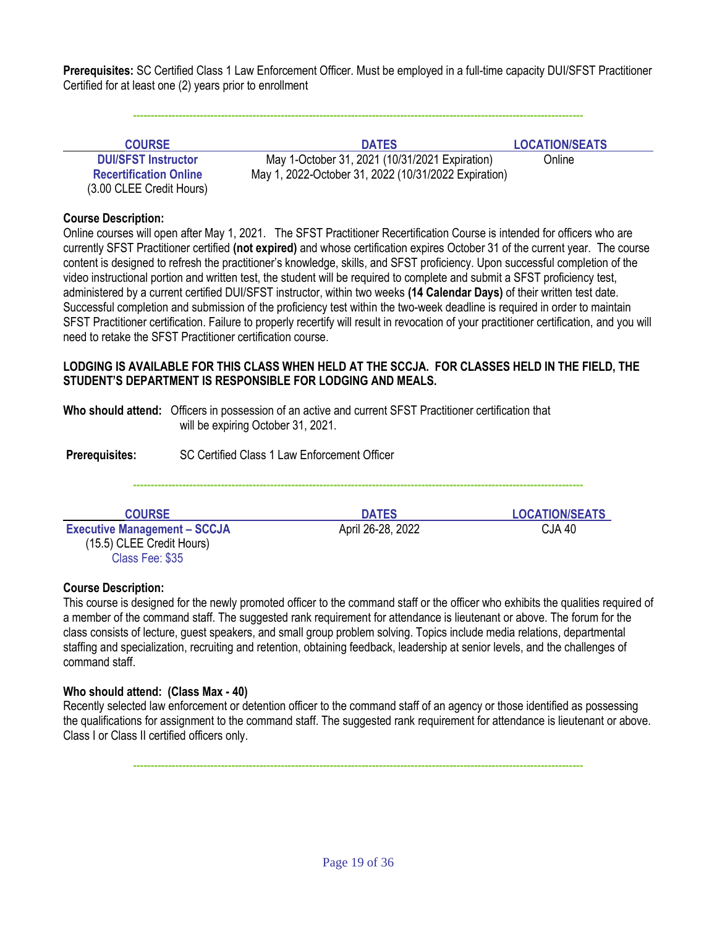**Prerequisites:** SC Certified Class 1 Law Enforcement Officer. Must be employed in a full-time capacity DUI/SFST Practitioner Certified for at least one (2) years prior to enrollment

**--------------------------------------------------------------------------------------------------------------------------------**

| <b>COURSE</b>                 | <b>DATES</b>                                         | <b>LOCATION/SEATS</b> |
|-------------------------------|------------------------------------------------------|-----------------------|
| <b>DUI/SFST Instructor</b>    | May 1-October 31, 2021 (10/31/2021 Expiration)       | Online                |
| <b>Recertification Online</b> | May 1, 2022-October 31, 2022 (10/31/2022 Expiration) |                       |
| (3.00 CLEE Credit Hours)      |                                                      |                       |

#### **Course Description:**

Online courses will open after May 1, 2021. The SFST Practitioner Recertification Course is intended for officers who are currently SFST Practitioner certified **(not expired)** and whose certification expires October 31 of the current year. The course content is designed to refresh the practitioner's knowledge, skills, and SFST proficiency. Upon successful completion of the video instructional portion and written test, the student will be required to complete and submit a SFST proficiency test, administered by a current certified DUI/SFST instructor, within two weeks **(14 Calendar Days)** of their written test date. Successful completion and submission of the proficiency test within the two-week deadline is required in order to maintain SFST Practitioner certification. Failure to properly recertify will result in revocation of your practitioner certification, and you will need to retake the SFST Practitioner certification course.

#### **LODGING IS AVAILABLE FOR THIS CLASS WHEN HELD AT THE SCCJA. FOR CLASSES HELD IN THE FIELD, THE STUDENT'S DEPARTMENT IS RESPONSIBLE FOR LODGING AND MEALS.**

**Who should attend:** Officers in possession of an active and current SFST Practitioner certification that will be expiring October 31, 2021.

**Prerequisites:** SC Certified Class 1 Law Enforcement Officer

**--------------------------------------------------------------------------------------------------------------------------------**

**Executive Management – SCCJA** April 26-28, 2022 CJA 40 (15.5) CLEE Credit Hours) Class Fee: \$35

**COURSE DATES LOCATION/SEATS**

#### **Course Description:**

This course is designed for the newly promoted officer to the command staff or the officer who exhibits the qualities required of a member of the command staff. The suggested rank requirement for attendance is lieutenant or above. The forum for the class consists of lecture, guest speakers, and small group problem solving. Topics include media relations, departmental staffing and specialization, recruiting and retention, obtaining feedback, leadership at senior levels, and the challenges of command staff.

#### **Who should attend: (Class Max - 40)**

Recently selected law enforcement or detention officer to the command staff of an agency or those identified as possessing the qualifications for assignment to the command staff. The suggested rank requirement for attendance is lieutenant or above. Class I or Class II certified officers only.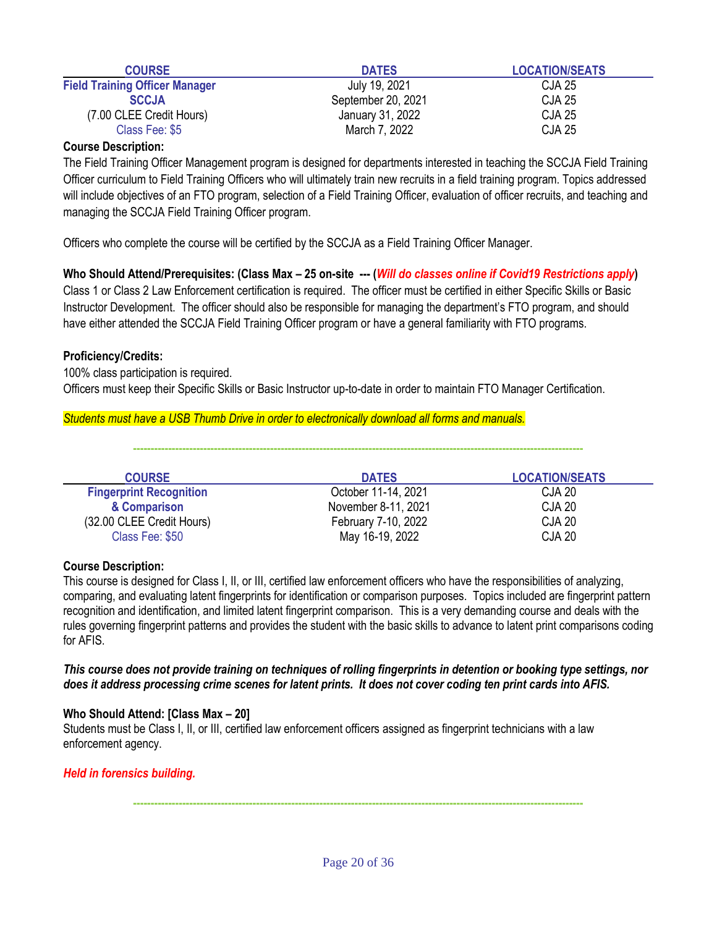| <b>COURSE</b>                         | <b>DATES</b>       | <b>LOCATION/SEATS</b> |
|---------------------------------------|--------------------|-----------------------|
| <b>Field Training Officer Manager</b> | July 19, 2021      | CJA 25                |
| <b>SCCJA</b>                          | September 20, 2021 | <b>CJA 25</b>         |
| (7.00 CLEE Credit Hours)              | January 31, 2022   | <b>CJA 25</b>         |
| Class Fee: \$5                        | March 7, 2022      | <b>CJA 25</b>         |

The Field Training Officer Management program is designed for departments interested in teaching the SCCJA Field Training Officer curriculum to Field Training Officers who will ultimately train new recruits in a field training program. Topics addressed will include objectives of an FTO program, selection of a Field Training Officer, evaluation of officer recruits, and teaching and managing the SCCJA Field Training Officer program.

Officers who complete the course will be certified by the SCCJA as a Field Training Officer Manager.

**Who Should Attend/Prerequisites: (Class Max – 25 on-site --- (***Will do classes online if Covid19 Restrictions apply***)** Class 1 or Class 2 Law Enforcement certification is required. The officer must be certified in either Specific Skills or Basic Instructor Development. The officer should also be responsible for managing the department's FTO program, and should have either attended the SCCJA Field Training Officer program or have a general familiarity with FTO programs.

#### **Proficiency/Credits:**

100% class participation is required. Officers must keep their Specific Skills or Basic Instructor up-to-date in order to maintain FTO Manager Certification.

#### *Students must have a USB Thumb Drive in order to electronically download all forms and manuals.*

**--------------------------------------------------------------------------------------------------------------------------------**

| <b>COURSE</b>                  | <b>DATES</b>        | <b>LOCATION/SEATS</b> |
|--------------------------------|---------------------|-----------------------|
| <b>Fingerprint Recognition</b> | October 11-14, 2021 | CJA 20                |
| & Comparison                   | November 8-11, 2021 | <b>CJA 20</b>         |
| (32.00 CLEE Credit Hours)      | February 7-10, 2022 | <b>CJA 20</b>         |
| Class Fee: \$50                | May 16-19, 2022     | <b>CJA 20</b>         |

#### **Course Description:**

This course is designed for Class I, II, or III, certified law enforcement officers who have the responsibilities of analyzing, comparing, and evaluating latent fingerprints for identification or comparison purposes. Topics included are fingerprint pattern recognition and identification, and limited latent fingerprint comparison. This is a very demanding course and deals with the rules governing fingerprint patterns and provides the student with the basic skills to advance to latent print comparisons coding for AFIS.

*This course does not provide training on techniques of rolling fingerprints in detention or booking type settings, nor does it address processing crime scenes for latent prints. It does not cover coding ten print cards into AFIS.*

#### **Who Should Attend: [Class Max – 20]**

Students must be Class I, II, or III, certified law enforcement officers assigned as fingerprint technicians with a law enforcement agency.

#### *Held in forensics building.*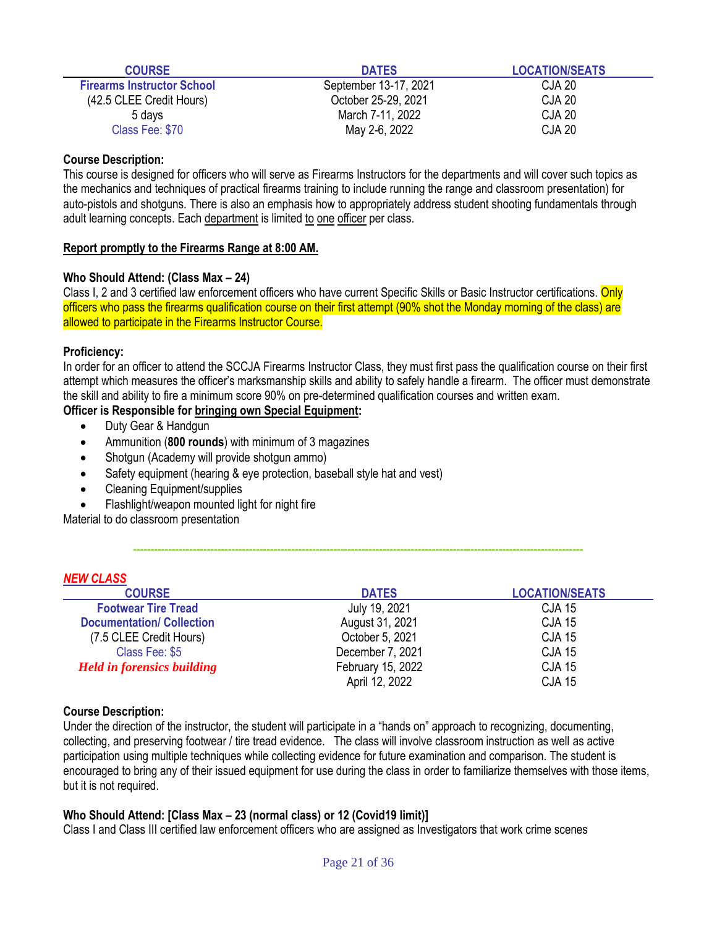| <b>COURSE</b>                     | <b>DATES</b>          | <b>LOCATION/SEATS</b> |
|-----------------------------------|-----------------------|-----------------------|
| <b>Firearms Instructor School</b> | September 13-17, 2021 | CJA 20                |
| (42.5 CLEE Credit Hours)          | October 25-29, 2021   | <b>CJA 20</b>         |
| 5 days                            | March 7-11, 2022      | <b>CJA 20</b>         |
| Class Fee: \$70                   | May 2-6, 2022         | <b>CJA 20</b>         |

This course is designed for officers who will serve as Firearms Instructors for the departments and will cover such topics as the mechanics and techniques of practical firearms training to include running the range and classroom presentation) for auto-pistols and shotguns. There is also an emphasis how to appropriately address student shooting fundamentals through adult learning concepts. Each department is limited to one officer per class.

#### **Report promptly to the Firearms Range at 8:00 AM.**

#### **Who Should Attend: (Class Max – 24)**

Class I, 2 and 3 certified law enforcement officers who have current Specific Skills or Basic Instructor certifications. Only officers who pass the firearms qualification course on their first attempt (90% shot the Monday morning of the class) are allowed to participate in the Firearms Instructor Course.

#### **Proficiency:**

*NEW CLASS*

In order for an officer to attend the SCCJA Firearms Instructor Class, they must first pass the qualification course on their first attempt which measures the officer's marksmanship skills and ability to safely handle a firearm. The officer must demonstrate the skill and ability to fire a minimum score 90% on pre-determined qualification courses and written exam.

#### **Officer is Responsible for bringing own Special Equipment:**

- Duty Gear & Handgun
- Ammunition (**800 rounds**) with minimum of 3 magazines
- Shotgun (Academy will provide shotgun ammo)
- Safety equipment (hearing & eye protection, baseball style hat and vest)
- Cleaning Equipment/supplies
- Flashlight/weapon mounted light for night fire

Material to do classroom presentation

| <b>INEW GLASS</b>                 |                   |                       |
|-----------------------------------|-------------------|-----------------------|
| <b>COURSE</b>                     | <b>DATES</b>      | <b>LOCATION/SEATS</b> |
| <b>Footwear Tire Tread</b>        | July 19, 2021     | <b>CJA 15</b>         |
| <b>Documentation/ Collection</b>  | August 31, 2021   | <b>CJA 15</b>         |
| (7.5 CLEE Credit Hours)           | October 5, 2021   | <b>CJA 15</b>         |
| Class Fee: \$5                    | December 7, 2021  | <b>CJA 15</b>         |
| <b>Held in forensics building</b> | February 15, 2022 | <b>CJA 15</b>         |
|                                   | April 12, 2022    | <b>CJA 15</b>         |

**--------------------------------------------------------------------------------------------------------------------------------**

#### **Course Description:**

Under the direction of the instructor, the student will participate in a "hands on" approach to recognizing, documenting, collecting, and preserving footwear / tire tread evidence. The class will involve classroom instruction as well as active participation using multiple techniques while collecting evidence for future examination and comparison. The student is encouraged to bring any of their issued equipment for use during the class in order to familiarize themselves with those items, but it is not required.

### **Who Should Attend: [Class Max – 23 (normal class) or 12 (Covid19 limit)]**

Class I and Class III certified law enforcement officers who are assigned as Investigators that work crime scenes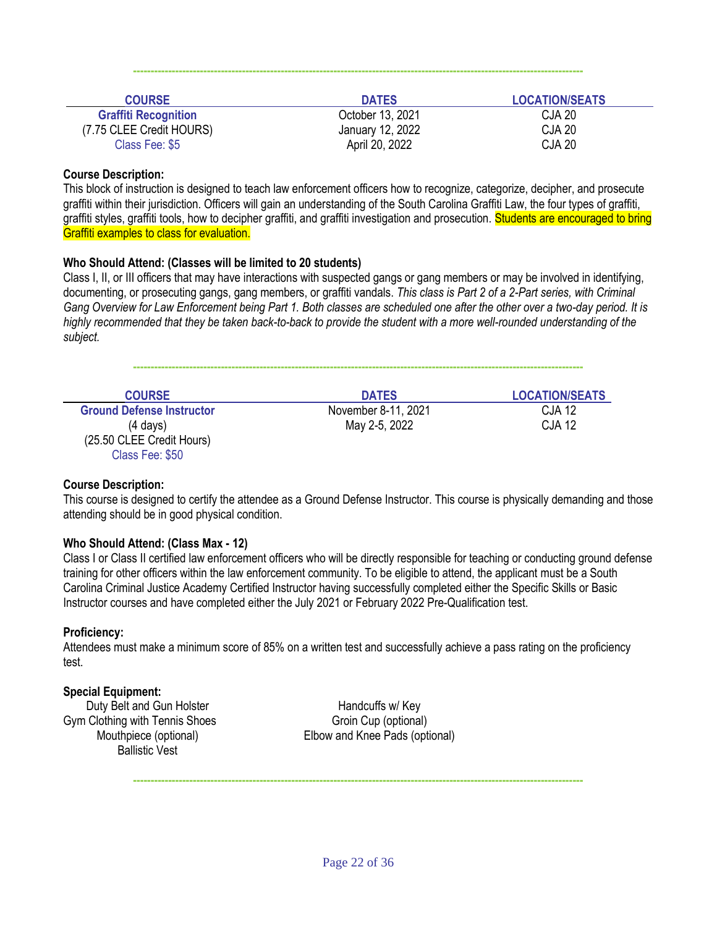| <b>COURSE</b>               | <b>DATES</b>     | <b>LOCATION/SEATS</b> |
|-----------------------------|------------------|-----------------------|
| <b>Graffiti Recognition</b> | October 13, 2021 | <b>CJA 20</b>         |
| (7.75 CLEE Credit HOURS)    | January 12, 2022 | <b>CJA 20</b>         |
| Class Fee: \$5              | April 20, 2022   | <b>CJA 20</b>         |

**--------------------------------------------------------------------------------------------------------------------------------**

#### **Course Description:**

This block of instruction is designed to teach law enforcement officers how to recognize, categorize, decipher, and prosecute graffiti within their jurisdiction. Officers will gain an understanding of the South Carolina Graffiti Law, the four types of graffiti, graffiti styles, graffiti tools, how to decipher graffiti, and graffiti investigation and prosecution. Students are encouraged to bring Graffiti examples to class for evaluation.

#### **Who Should Attend: (Classes will be limited to 20 students)**

Class I, II, or III officers that may have interactions with suspected gangs or gang members or may be involved in identifying, documenting, or prosecuting gangs, gang members, or graffiti vandals. *This class is Part 2 of a 2-Part series, with Criminal Gang Overview for Law Enforcement being Part 1. Both classes are scheduled one after the other over a two-day period. It is highly recommended that they be taken back-to-back to provide the student with a more well-rounded understanding of the subject.*

**--------------------------------------------------------------------------------------------------------------------------------**

| <b>COURSE</b>                    | <b>DATES</b>        | <b>LOCATION/SEATS</b> |
|----------------------------------|---------------------|-----------------------|
| <b>Ground Defense Instructor</b> | November 8-11, 2021 | <b>CJA 12</b>         |
| $(4 \text{ days})$               | May 2-5, 2022       | <b>CJA 12</b>         |
| (25.50 CLEE Credit Hours)        |                     |                       |
| Class Fee: \$50                  |                     |                       |

#### **Course Description:**

This course is designed to certify the attendee as a Ground Defense Instructor. This course is physically demanding and those attending should be in good physical condition.

#### **Who Should Attend: (Class Max - 12)**

Class I or Class II certified law enforcement officers who will be directly responsible for teaching or conducting ground defense training for other officers within the law enforcement community. To be eligible to attend, the applicant must be a South Carolina Criminal Justice Academy Certified Instructor having successfully completed either the Specific Skills or Basic Instructor courses and have completed either the July 2021 or February 2022 Pre-Qualification test.

#### **Proficiency:**

Attendees must make a minimum score of 85% on a written test and successfully achieve a pass rating on the proficiency test.

#### **Special Equipment:**

Duty Belt and Gun Holster **Handcuffs** w/ Key Gym Clothing with Tennis Shoes Group (optional) Group (optional) Ballistic Vest

Mouthpiece (optional) Elbow and Knee Pads (optional)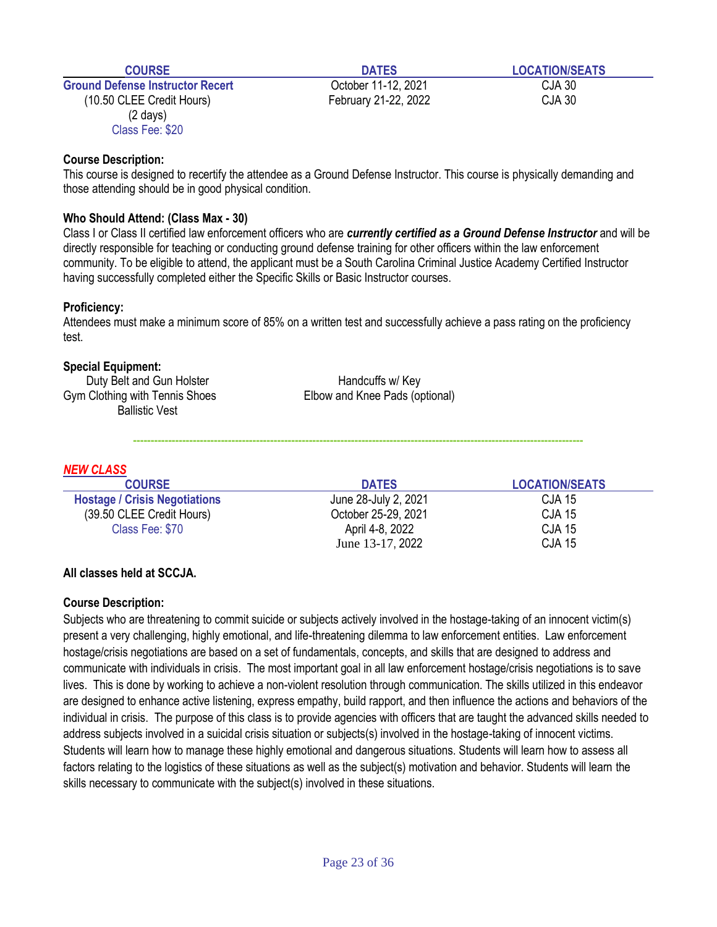Ground Defense Instructor Recert Correspondent CJA 30 (10.50 CLEE Credit Hours) February 21-22, 2022 CJA 30 (2 days) Class Fee: \$20

#### **Course Description:**

This course is designed to recertify the attendee as a Ground Defense Instructor. This course is physically demanding and those attending should be in good physical condition.

#### **Who Should Attend: (Class Max - 30)**

Class I or Class II certified law enforcement officers who are *currently certified as a Ground Defense Instructor* and will be directly responsible for teaching or conducting ground defense training for other officers within the law enforcement community. To be eligible to attend, the applicant must be a South Carolina Criminal Justice Academy Certified Instructor having successfully completed either the Specific Skills or Basic Instructor courses.

#### **Proficiency:**

Attendees must make a minimum score of 85% on a written test and successfully achieve a pass rating on the proficiency test.

#### **Special Equipment:**

Duty Belt and Gun Holster **Handcuffs** w/ Key Gym Clothing with Tennis Shoes Elbow and Knee Pads (optional) Ballistic Vest

**--------------------------------------------------------------------------------------------------------------------------------**

#### *NEW CLASS*

| <b>COURSE</b>                        | <b>DATES</b>         | <b>LOCATION/SEATS</b> |
|--------------------------------------|----------------------|-----------------------|
| <b>Hostage / Crisis Negotiations</b> | June 28-July 2, 2021 | <b>CJA 15</b>         |
| (39.50 CLEE Credit Hours)            | October 25-29, 2021  | CJA 15                |
| Class Fee: \$70                      | April 4-8, 2022      | <b>CJA 15</b>         |
|                                      | June 13-17, 2022     | <b>CJA 15</b>         |

#### **All classes held at SCCJA.**

#### **Course Description:**

Subjects who are threatening to commit suicide or subjects actively involved in the hostage-taking of an innocent victim(s) present a very challenging, highly emotional, and life-threatening dilemma to law enforcement entities. Law enforcement hostage/crisis negotiations are based on a set of fundamentals, concepts, and skills that are designed to address and communicate with individuals in crisis. The most important goal in all law enforcement hostage/crisis negotiations is to save lives. This is done by working to achieve a non-violent resolution through communication. The skills utilized in this endeavor are designed to enhance active listening, express empathy, build rapport, and then influence the actions and behaviors of the individual in crisis. The purpose of this class is to provide agencies with officers that are taught the advanced skills needed to address subjects involved in a suicidal crisis situation or subjects(s) involved in the hostage-taking of innocent victims. Students will learn how to manage these highly emotional and dangerous situations. Students will learn how to assess all factors relating to the logistics of these situations as well as the subject(s) motivation and behavior. Students will learn the skills necessary to communicate with the subject(s) involved in these situations.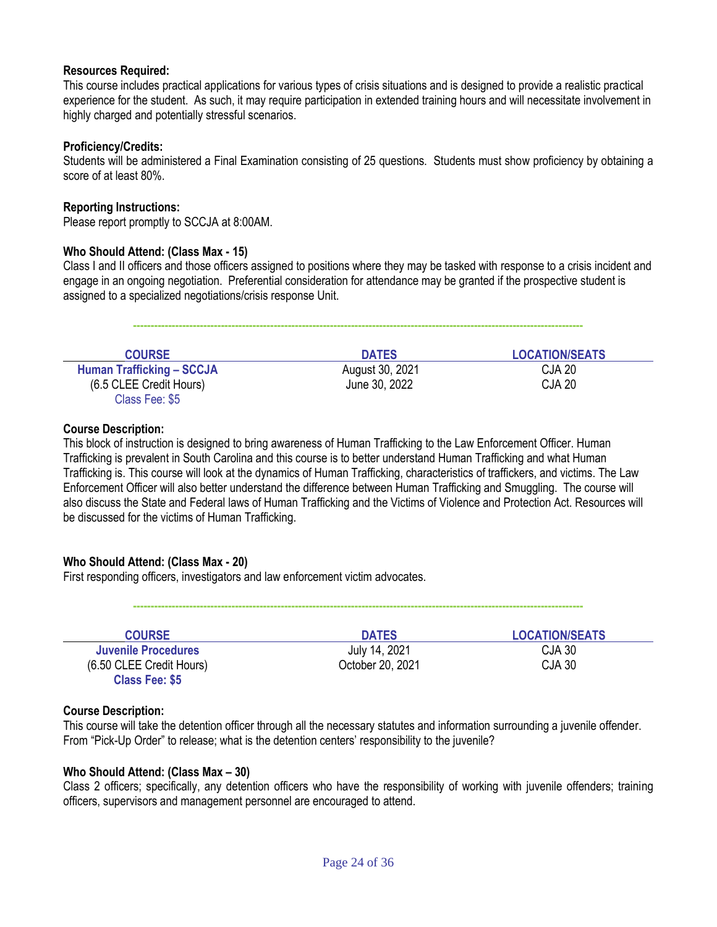#### **Resources Required:**

This course includes practical applications for various types of crisis situations and is designed to provide a realistic practical experience for the student. As such, it may require participation in extended training hours and will necessitate involvement in highly charged and potentially stressful scenarios.

#### **Proficiency/Credits:**

Students will be administered a Final Examination consisting of 25 questions. Students must show proficiency by obtaining a score of at least 80%.

#### **Reporting Instructions:**

Please report promptly to SCCJA at 8:00AM.

#### **Who Should Attend: (Class Max - 15)**

Class I and II officers and those officers assigned to positions where they may be tasked with response to a crisis incident and engage in an ongoing negotiation. Preferential consideration for attendance may be granted if the prospective student is assigned to a specialized negotiations/crisis response Unit.

**--------------------------------------------------------------------------------------------------------------------------------**

| <b>COURSE</b>                    | <b>DATES</b>    | <b>LOCATION/SEATS</b> |
|----------------------------------|-----------------|-----------------------|
| <b>Human Trafficking - SCCJA</b> | August 30, 2021 | <b>CJA 20</b>         |
| (6.5 CLEE Credit Hours)          | June 30, 2022   | <b>CJA 20</b>         |
| Class Fee: \$5                   |                 |                       |

#### **Course Description:**

This block of instruction is designed to bring awareness of Human Trafficking to the Law Enforcement Officer. Human Trafficking is prevalent in South Carolina and this course is to better understand Human Trafficking and what Human Trafficking is. This course will look at the dynamics of Human Trafficking, characteristics of traffickers, and victims. The Law Enforcement Officer will also better understand the difference between Human Trafficking and Smuggling. The course will also discuss the State and Federal laws of Human Trafficking and the Victims of Violence and Protection Act. Resources will be discussed for the victims of Human Trafficking.

#### **Who Should Attend: (Class Max - 20)**

First responding officers, investigators and law enforcement victim advocates.

| <b>COURSE</b>              | <b>DATES</b>     | <b>LOCATION/SEATS</b> |
|----------------------------|------------------|-----------------------|
| <b>Juvenile Procedures</b> | July 14, 2021    | CJA 30                |
| (6.50 CLEE Credit Hours)   | October 20, 2021 | CJA 30                |
| <b>Class Fee: \$5</b>      |                  |                       |

**--------------------------------------------------------------------------------------------------------------------------------**

#### **Course Description:**

This course will take the detention officer through all the necessary statutes and information surrounding a juvenile offender. From "Pick-Up Order" to release; what is the detention centers' responsibility to the juvenile?

#### **Who Should Attend: (Class Max – 30)**

Class 2 officers; specifically, any detention officers who have the responsibility of working with juvenile offenders; training officers, supervisors and management personnel are encouraged to attend.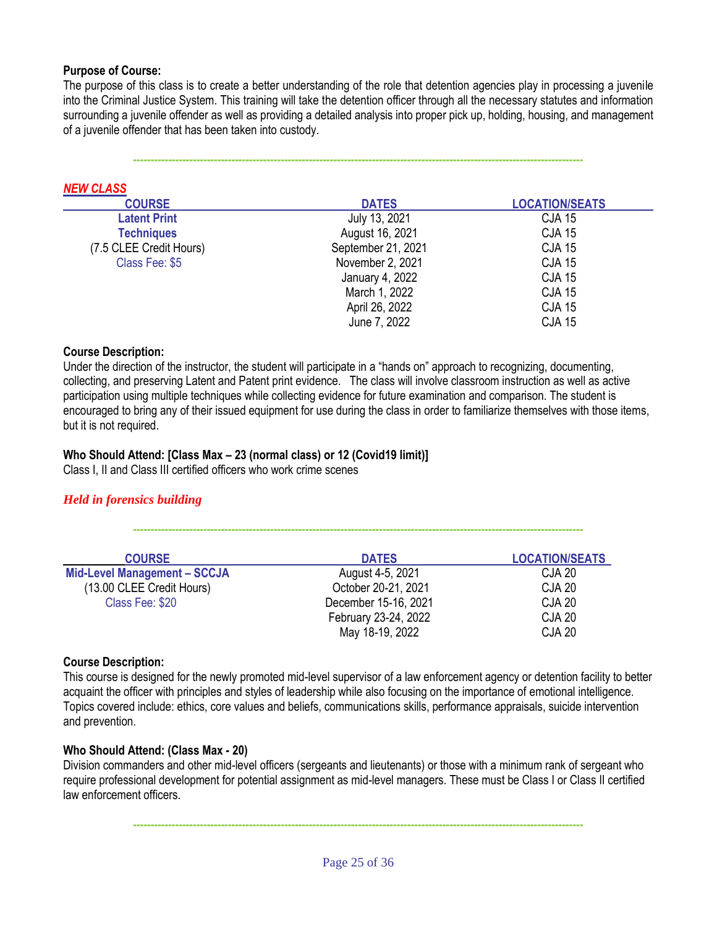#### **Purpose of Course:**

*NEW CLASS*

The purpose of this class is to create a better understanding of the role that detention agencies play in processing a juvenile into the Criminal Justice System. This training will take the detention officer through all the necessary statutes and information surrounding a juvenile offender as well as providing a detailed analysis into proper pick up, holding, housing, and management of a juvenile offender that has been taken into custody.

**--------------------------------------------------------------------------------------------------------------------------------**

| <b>NEW CLASS</b>        |                    |                       |
|-------------------------|--------------------|-----------------------|
| <b>COURSE</b>           | <b>DATES</b>       | <b>LOCATION/SEATS</b> |
| <b>Latent Print</b>     | July 13, 2021      | <b>CJA 15</b>         |
| <b>Techniques</b>       | August 16, 2021    | <b>CJA 15</b>         |
| (7.5 CLEE Credit Hours) | September 21, 2021 | <b>CJA 15</b>         |
| Class Fee: \$5          | November 2, 2021   | <b>CJA 15</b>         |
|                         | January 4, 2022    | <b>CJA 15</b>         |
|                         | March 1, 2022      | <b>CJA 15</b>         |
|                         | April 26, 2022     | <b>CJA 15</b>         |
|                         | June 7, 2022       | <b>CJA 15</b>         |

#### **Course Description:**

Under the direction of the instructor, the student will participate in a "hands on" approach to recognizing, documenting, collecting, and preserving Latent and Patent print evidence. The class will involve classroom instruction as well as active participation using multiple techniques while collecting evidence for future examination and comparison. The student is encouraged to bring any of their issued equipment for use during the class in order to familiarize themselves with those items, but it is not required.

**--------------------------------------------------------------------------------------------------------------------------------**

#### **Who Should Attend: [Class Max – 23 (normal class) or 12 (Covid19 limit)]**

Class I, II and Class III certified officers who work crime scenes

#### *Held in forensics building*

| <b>COURSE</b>                       | <b>DATES</b>         | <b>LOCATION/SEATS</b> |
|-------------------------------------|----------------------|-----------------------|
| <b>Mid-Level Management - SCCJA</b> | August 4-5, 2021     | CJA 20                |
| (13.00 CLEE Credit Hours)           | October 20-21, 2021  | CJA 20                |
| Class Fee: \$20                     | December 15-16, 2021 | CJA 20                |
|                                     | February 23-24, 2022 | CJA 20                |
|                                     | May 18-19, 2022      | <b>CJA 20</b>         |

#### **Course Description:**

This course is designed for the newly promoted mid-level supervisor of a law enforcement agency or detention facility to better acquaint the officer with principles and styles of leadership while also focusing on the importance of emotional intelligence. Topics covered include: ethics, core values and beliefs, communications skills, performance appraisals, suicide intervention and prevention.

#### **Who Should Attend: (Class Max - 20)**

Division commanders and other mid-level officers (sergeants and lieutenants) or those with a minimum rank of sergeant who require professional development for potential assignment as mid-level managers. These must be Class I or Class II certified law enforcement officers.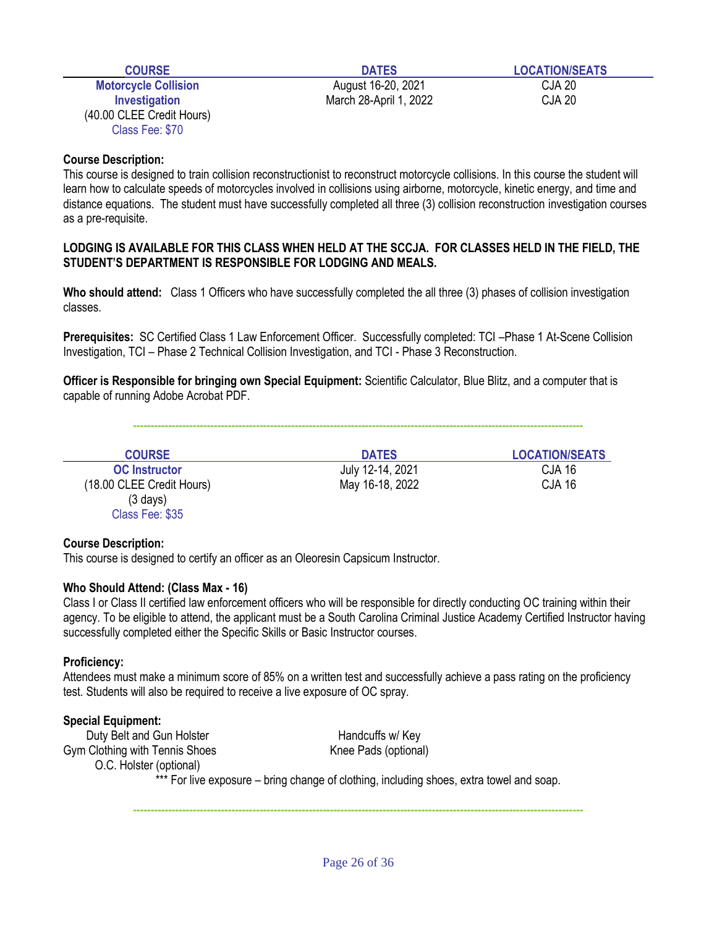|  | ЧR |  |  |
|--|----|--|--|
|  |    |  |  |

**Motorcycle Collision August 16-20, 2021** CJA 20 **Investigation** CJA 20 (40.00 CLEE Credit Hours) Class Fee: \$70

#### **Course Description:**

This course is designed to train collision reconstructionist to reconstruct motorcycle collisions. In this course the student will learn how to calculate speeds of motorcycles involved in collisions using airborne, motorcycle, kinetic energy, and time and distance equations. The student must have successfully completed all three (3) collision reconstruction investigation courses as a pre-requisite.

#### **LODGING IS AVAILABLE FOR THIS CLASS WHEN HELD AT THE SCCJA. FOR CLASSES HELD IN THE FIELD, THE STUDENT'S DEPARTMENT IS RESPONSIBLE FOR LODGING AND MEALS.**

**Who should attend:** Class 1 Officers who have successfully completed the all three (3) phases of collision investigation classes.

**Prerequisites:** SC Certified Class 1 Law Enforcement Officer. Successfully completed: TCI –Phase 1 At-Scene Collision Investigation, TCI – Phase 2 Technical Collision Investigation, and TCI - Phase 3 Reconstruction.

**Officer is Responsible for bringing own Special Equipment:** Scientific Calculator, Blue Blitz, and a computer that is capable of running Adobe Acrobat PDF.

**--------------------------------------------------------------------------------------------------------------------------------**

| <b>COURSE</b>             | <b>DATES</b>     | <b>LOCATION/SEATS</b> |
|---------------------------|------------------|-----------------------|
| <b>OC</b> Instructor      | July 12-14, 2021 | CJA 16                |
| (18.00 CLEE Credit Hours) | May 16-18, 2022  | <b>CJA 16</b>         |
| $(3 \text{ days})$        |                  |                       |
| Class Fee: \$35           |                  |                       |

#### **Course Description:**

This course is designed to certify an officer as an Oleoresin Capsicum Instructor.

#### **Who Should Attend: (Class Max - 16)**

Class I or Class II certified law enforcement officers who will be responsible for directly conducting OC training within their agency. To be eligible to attend, the applicant must be a South Carolina Criminal Justice Academy Certified Instructor having successfully completed either the Specific Skills or Basic Instructor courses.

#### **Proficiency:**

Attendees must make a minimum score of 85% on a written test and successfully achieve a pass rating on the proficiency test. Students will also be required to receive a live exposure of OC spray.

#### **Special Equipment:**

Duty Belt and Gun Holster **Handcuffs w/ Key** Gym Clothing with Tennis Shoes Knee Pads (optional) O.C. Holster (optional)

\*\*\* For live exposure – bring change of clothing, including shoes, extra towel and soap.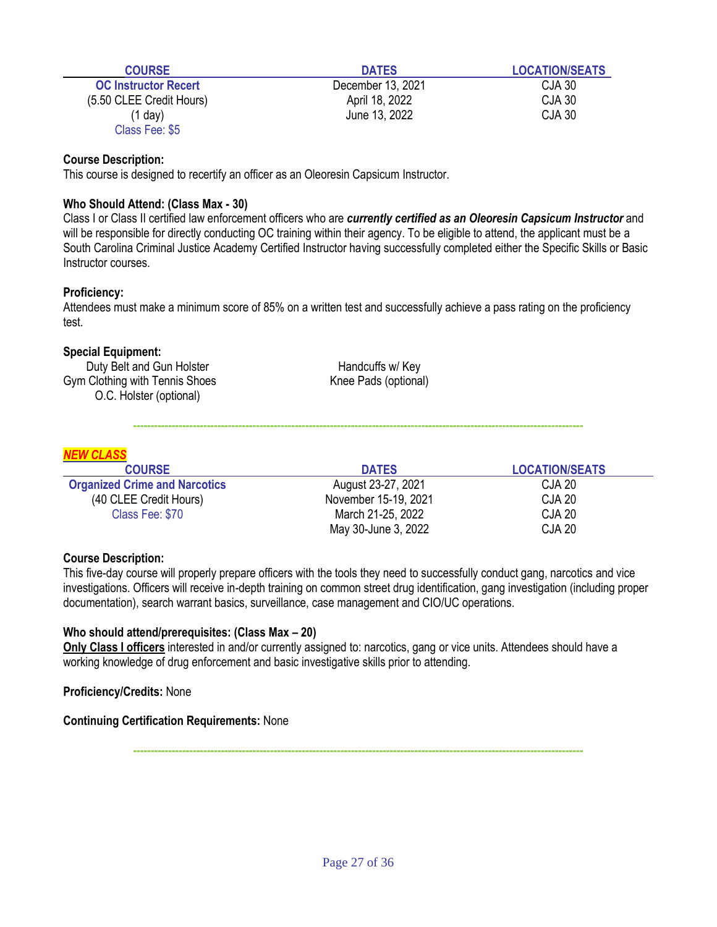| <b>COURSE</b>               | <b>DATES</b>      | <b>LOCATION/SEATS</b> |
|-----------------------------|-------------------|-----------------------|
| <b>OC Instructor Recert</b> | December 13, 2021 | CJA 30                |
| (5.50 CLEE Credit Hours)    | April 18, 2022    | <b>CJA 30</b>         |
| (1 day)                     | June 13, 2022     | <b>CJA 30</b>         |
| Class Fee: \$5              |                   |                       |

This course is designed to recertify an officer as an Oleoresin Capsicum Instructor.

#### **Who Should Attend: (Class Max - 30)**

Class I or Class II certified law enforcement officers who are *currently certified as an Oleoresin Capsicum Instructor* and will be responsible for directly conducting OC training within their agency. To be eligible to attend, the applicant must be a South Carolina Criminal Justice Academy Certified Instructor having successfully completed either the Specific Skills or Basic Instructor courses.

#### **Proficiency:**

Attendees must make a minimum score of 85% on a written test and successfully achieve a pass rating on the proficiency test.

#### **Special Equipment:**

Duty Belt and Gun Holster **Handcuffs** w/ Key Gym Clothing with Tennis Shoes Knee Pads (optional) O.C. Holster (optional)

**--------------------------------------------------------------------------------------------------------------------------------**

|  | v<br>∼<br>- |
|--|-------------|

| <b>COURSE</b>                        | <b>DATES</b>         | <b>LOCATION/SEATS</b> |
|--------------------------------------|----------------------|-----------------------|
| <b>Organized Crime and Narcotics</b> | August 23-27, 2021   | CJA 20                |
| (40 CLEE Credit Hours)               | November 15-19, 2021 | CJA 20                |
| Class Fee: \$70                      | March 21-25, 2022    | CJA 20                |
|                                      | May 30-June 3, 2022  | <b>CJA 20</b>         |

#### **Course Description:**

This five-day course will properly prepare officers with the tools they need to successfully conduct gang, narcotics and vice investigations. Officers will receive in-depth training on common street drug identification, gang investigation (including proper documentation), search warrant basics, surveillance, case management and CIO/UC operations.

#### **Who should attend/prerequisites: (Class Max – 20)**

Only Class I officers interested in and/or currently assigned to: narcotics, gang or vice units. Attendees should have a working knowledge of drug enforcement and basic investigative skills prior to attending.

**Proficiency/Credits:** None

**Continuing Certification Requirements:** None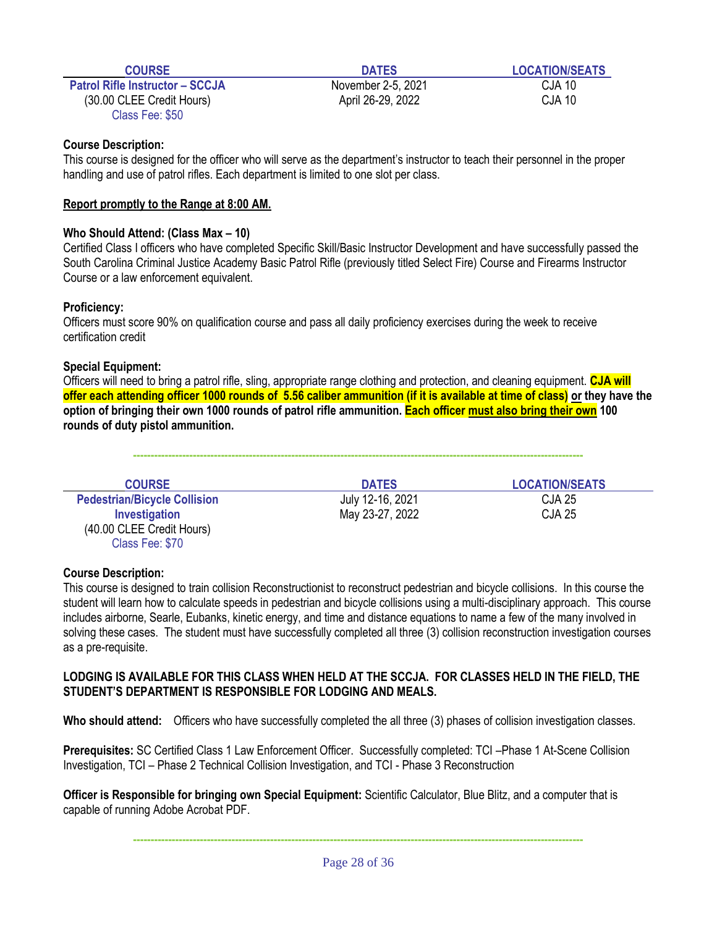**Patrol Rifle Instructor – SCCJA** November 2-5, 2021 CJA 10 (30.00 CLEE Credit Hours) April 26-29, 2022 CJA 10 Class Fee: \$50

**COURSE DATES LOCATION/SEATS**

#### **Course Description:**

This course is designed for the officer who will serve as the department's instructor to teach their personnel in the proper handling and use of patrol rifles. Each department is limited to one slot per class.

### **Report promptly to the Range at 8:00 AM.**

### **Who Should Attend: (Class Max – 10)**

Certified Class I officers who have completed Specific Skill/Basic Instructor Development and have successfully passed the South Carolina Criminal Justice Academy Basic Patrol Rifle (previously titled Select Fire) Course and Firearms Instructor Course or a law enforcement equivalent.

### **Proficiency:**

Officers must score 90% on qualification course and pass all daily proficiency exercises during the week to receive certification credit

### **Special Equipment:**

Officers will need to bring a patrol rifle, sling, appropriate range clothing and protection, and cleaning equipment. **CJA will offer each attending officer 1000 rounds of 5.56 caliber ammunition (if it is available at time of class) or they have the option of bringing their own 1000 rounds of patrol rifle ammunition. Each officer must also bring their own 100 rounds of duty pistol ammunition.**

**--------------------------------------------------------------------------------------------------------------------------------**

| <b>COURSE</b>                       | <b>DATES</b>     | <b>LOCATION/SEATS</b> |
|-------------------------------------|------------------|-----------------------|
| <b>Pedestrian/Bicycle Collision</b> | July 12-16, 2021 | <b>CJA 25</b>         |
| Investigation                       | May 23-27, 2022  | CJA 25                |
| (40.00 CLEE Credit Hours)           |                  |                       |
| Class Fee: \$70                     |                  |                       |

#### **Course Description:**

This course is designed to train collision Reconstructionist to reconstruct pedestrian and bicycle collisions. In this course the student will learn how to calculate speeds in pedestrian and bicycle collisions using a multi-disciplinary approach. This course includes airborne, Searle, Eubanks, kinetic energy, and time and distance equations to name a few of the many involved in solving these cases. The student must have successfully completed all three (3) collision reconstruction investigation courses as a pre-requisite.

#### **LODGING IS AVAILABLE FOR THIS CLASS WHEN HELD AT THE SCCJA. FOR CLASSES HELD IN THE FIELD, THE STUDENT'S DEPARTMENT IS RESPONSIBLE FOR LODGING AND MEALS.**

**Who should attend:** Officers who have successfully completed the all three (3) phases of collision investigation classes.

**Prerequisites:** SC Certified Class 1 Law Enforcement Officer. Successfully completed: TCI –Phase 1 At-Scene Collision Investigation, TCI – Phase 2 Technical Collision Investigation, and TCI - Phase 3 Reconstruction

**Officer is Responsible for bringing own Special Equipment:** Scientific Calculator, Blue Blitz, and a computer that is capable of running Adobe Acrobat PDF.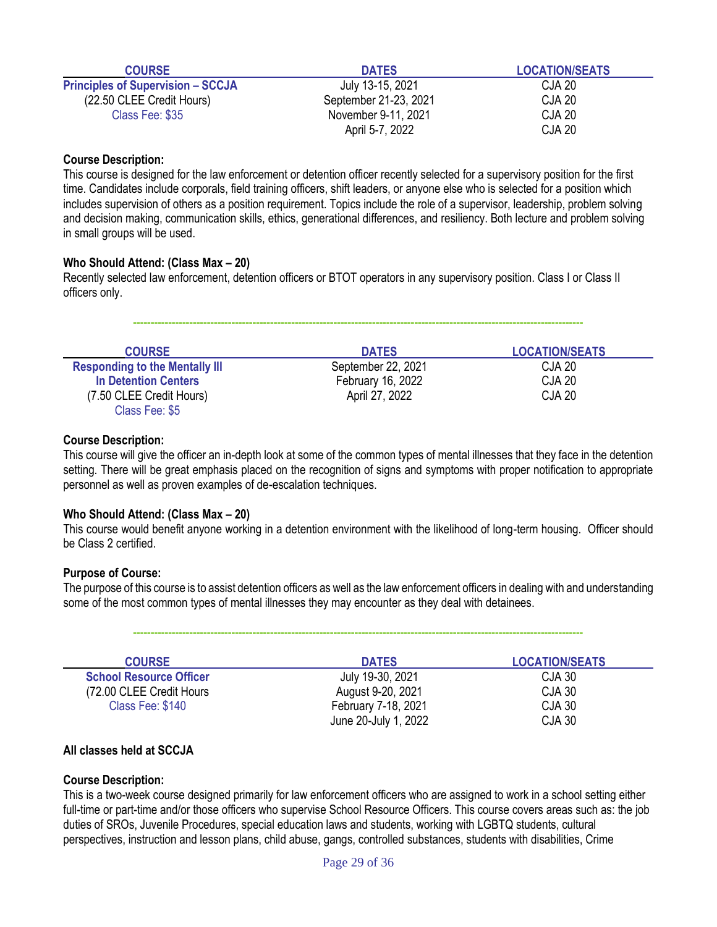| <b>COURSE</b>                            | <b>DATES</b>          | <b>LOCATION/SEATS</b> |
|------------------------------------------|-----------------------|-----------------------|
| <b>Principles of Supervision - SCCJA</b> | July 13-15, 2021      | CJA 20                |
| (22.50 CLEE Credit Hours)                | September 21-23, 2021 | CJA 20                |
| Class Fee: \$35                          | November 9-11, 2021   | CJA 20                |
|                                          | April 5-7, 2022       | <b>CJA 20</b>         |

This course is designed for the law enforcement or detention officer recently selected for a supervisory position for the first time. Candidates include corporals, field training officers, shift leaders, or anyone else who is selected for a position which includes supervision of others as a position requirement. Topics include the role of a supervisor, leadership, problem solving and decision making, communication skills, ethics, generational differences, and resiliency. Both lecture and problem solving in small groups will be used.

#### **Who Should Attend: (Class Max – 20)**

Recently selected law enforcement, detention officers or BTOT operators in any supervisory position. Class I or Class II officers only.

| <b>COURSE</b>                         | <b>DATES</b>       | <b>LOCATION/SEATS</b> |
|---------------------------------------|--------------------|-----------------------|
| <b>Responding to the Mentally III</b> | September 22, 2021 | CJA 20                |
| <b>In Detention Centers</b>           | February 16, 2022  | <b>CJA 20</b>         |
| (7.50 CLEE Credit Hours)              | April 27, 2022     | <b>CJA 20</b>         |
| Class Fee: \$5                        |                    |                       |

**--------------------------------------------------------------------------------------------------------------------------------**

#### **Course Description:**

This course will give the officer an in-depth look at some of the common types of mental illnesses that they face in the detention setting. There will be great emphasis placed on the recognition of signs and symptoms with proper notification to appropriate personnel as well as proven examples of de-escalation techniques.

#### **Who Should Attend: (Class Max – 20)**

This course would benefit anyone working in a detention environment with the likelihood of long-term housing. Officer should be Class 2 certified.

#### **Purpose of Course:**

The purpose of this course is to assist detention officers as well as the law enforcement officers in dealing with and understanding some of the most common types of mental illnesses they may encounter as they deal with detainees.

**--------------------------------------------------------------------------------------------------------------------------------**

| <b>COURSE</b>                  | <b>DATES</b>         | <b>LOCATION/SEATS</b> |
|--------------------------------|----------------------|-----------------------|
| <b>School Resource Officer</b> | July 19-30, 2021     | CJA 30                |
| (72.00 CLEE Credit Hours)      | August 9-20, 2021    | CJA 30                |
| Class Fee: \$140               | February 7-18, 2021  | CJA 30                |
|                                | June 20-July 1, 2022 | CJA 30                |

#### **All classes held at SCCJA**

#### **Course Description:**

This is a two-week course designed primarily for law enforcement officers who are assigned to work in a school setting either full-time or part-time and/or those officers who supervise School Resource Officers. This course covers areas such as: the job duties of SROs, Juvenile Procedures, special education laws and students, working with LGBTQ students, cultural perspectives, instruction and lesson plans, child abuse, gangs, controlled substances, students with disabilities, Crime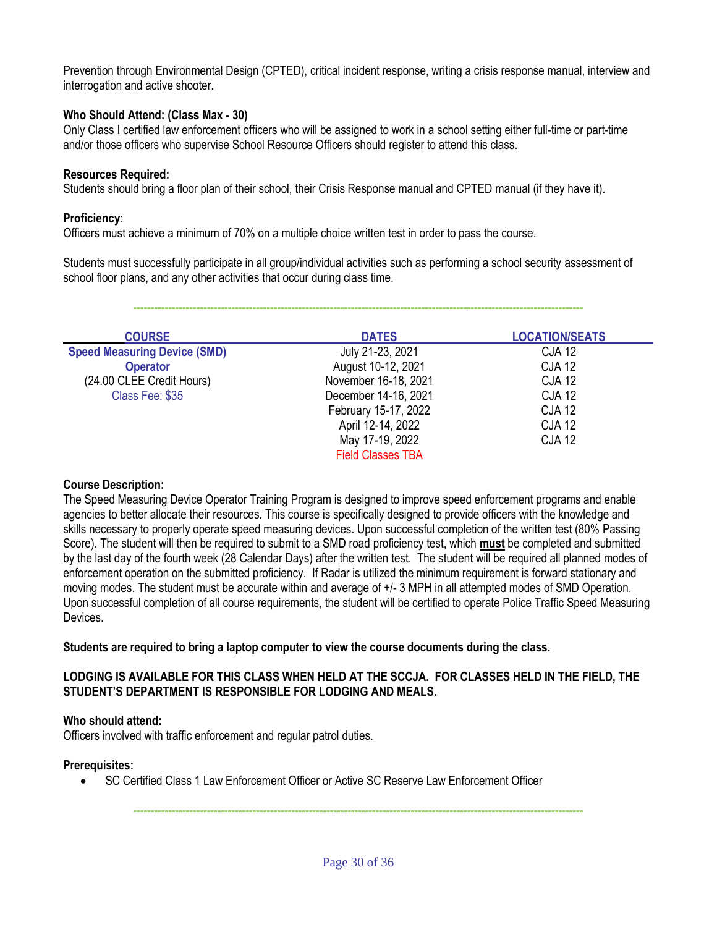Prevention through Environmental Design (CPTED), critical incident response, writing a crisis response manual, interview and interrogation and active shooter.

#### **Who Should Attend: (Class Max - 30)**

Only Class I certified law enforcement officers who will be assigned to work in a school setting either full-time or part-time and/or those officers who supervise School Resource Officers should register to attend this class.

#### **Resources Required:**

Students should bring a floor plan of their school, their Crisis Response manual and CPTED manual (if they have it).

#### **Proficiency**:

Officers must achieve a minimum of 70% on a multiple choice written test in order to pass the course.

Students must successfully participate in all group/individual activities such as performing a school security assessment of school floor plans, and any other activities that occur during class time.

**--------------------------------------------------------------------------------------------------------------------------------**

| <b>COURSE</b>                       | <b>DATES</b>             | <b>LOCATION/SEATS</b> |
|-------------------------------------|--------------------------|-----------------------|
| <b>Speed Measuring Device (SMD)</b> | July 21-23, 2021         | <b>CJA 12</b>         |
| <b>Operator</b>                     | August 10-12, 2021       | <b>CJA 12</b>         |
| (24.00 CLEE Credit Hours)           | November 16-18, 2021     | <b>CJA 12</b>         |
| Class Fee: \$35                     | December 14-16, 2021     | <b>CJA 12</b>         |
|                                     | February 15-17, 2022     | <b>CJA 12</b>         |
|                                     | April 12-14, 2022        | <b>CJA 12</b>         |
|                                     | May 17-19, 2022          | <b>CJA 12</b>         |
|                                     | <b>Field Classes TBA</b> |                       |

#### **Course Description:**

The Speed Measuring Device Operator Training Program is designed to improve speed enforcement programs and enable agencies to better allocate their resources. This course is specifically designed to provide officers with the knowledge and skills necessary to properly operate speed measuring devices. Upon successful completion of the written test (80% Passing Score). The student will then be required to submit to a SMD road proficiency test, which **must** be completed and submitted by the last day of the fourth week (28 Calendar Days) after the written test. The student will be required all planned modes of enforcement operation on the submitted proficiency. If Radar is utilized the minimum requirement is forward stationary and moving modes. The student must be accurate within and average of +/- 3 MPH in all attempted modes of SMD Operation. Upon successful completion of all course requirements, the student will be certified to operate Police Traffic Speed Measuring Devices.

#### **Students are required to bring a laptop computer to view the course documents during the class.**

#### **LODGING IS AVAILABLE FOR THIS CLASS WHEN HELD AT THE SCCJA. FOR CLASSES HELD IN THE FIELD, THE STUDENT'S DEPARTMENT IS RESPONSIBLE FOR LODGING AND MEALS.**

#### **Who should attend:**

Officers involved with traffic enforcement and regular patrol duties.

#### **Prerequisites:**

• SC Certified Class 1 Law Enforcement Officer or Active SC Reserve Law Enforcement Officer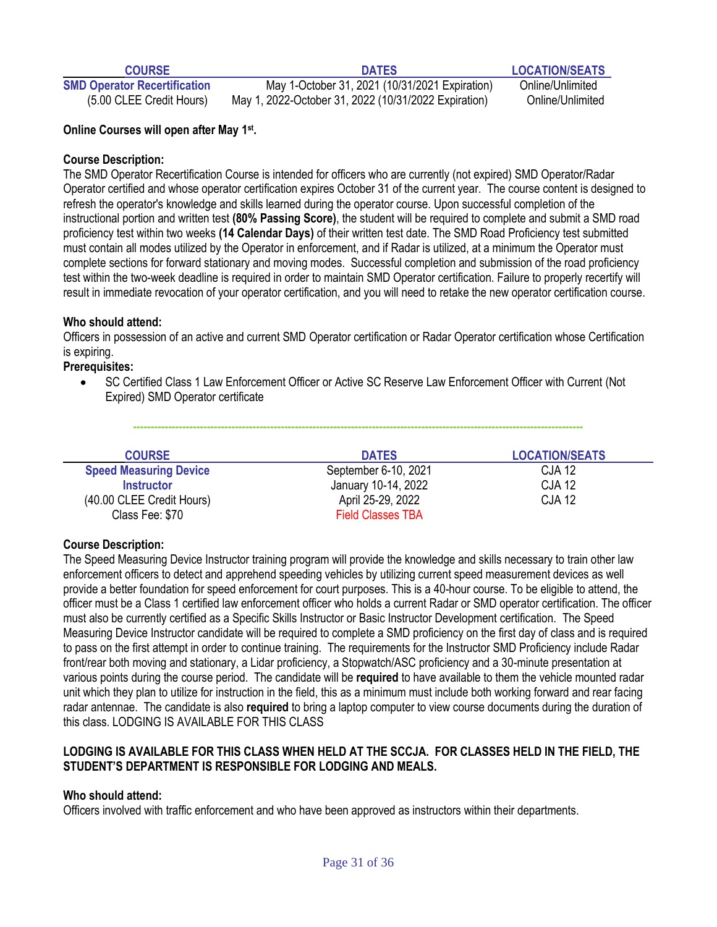**COURSE DATES LOCATION/SEATS**

**SMD Operator Recertification** May 1-October 31, 2021 (10/31/2021 Expiration) Online/Unlimited (5.00 CLEE Credit Hours) May 1, 2022-October 31, 2022 (10/31/2022 Expiration) Online/Unlimited

#### **Online Courses will open after May 1st .**

#### **Course Description:**

The SMD Operator Recertification Course is intended for officers who are currently (not expired) SMD Operator/Radar Operator certified and whose operator certification expires October 31 of the current year. The course content is designed to refresh the operator's knowledge and skills learned during the operator course. Upon successful completion of the instructional portion and written test **(80% Passing Score)**, the student will be required to complete and submit a SMD road proficiency test within two weeks **(14 Calendar Days)** of their written test date. The SMD Road Proficiency test submitted must contain all modes utilized by the Operator in enforcement, and if Radar is utilized, at a minimum the Operator must complete sections for forward stationary and moving modes. Successful completion and submission of the road proficiency test within the two-week deadline is required in order to maintain SMD Operator certification. Failure to properly recertify will result in immediate revocation of your operator certification, and you will need to retake the new operator certification course.

#### **Who should attend:**

Officers in possession of an active and current SMD Operator certification or Radar Operator certification whose Certification is expiring.

#### **Prerequisites:**

• SC Certified Class 1 Law Enforcement Officer or Active SC Reserve Law Enforcement Officer with Current (Not Expired) SMD Operator certificate

**--------------------------------------------------------------------------------------------------------------------------------**

| <b>COURSE</b>                 | <b>DATES</b>             | <b>LOCATION/SEATS</b> |
|-------------------------------|--------------------------|-----------------------|
| <b>Speed Measuring Device</b> | September 6-10, 2021     | <b>CJA 12</b>         |
| <b>Instructor</b>             | January 10-14, 2022      | <b>CJA 12</b>         |
| (40.00 CLEE Credit Hours)     | April 25-29, 2022        | <b>CJA 12</b>         |
| Class Fee: \$70               | <b>Field Classes TBA</b> |                       |

#### **Course Description:**

The Speed Measuring Device Instructor training program will provide the knowledge and skills necessary to train other law enforcement officers to detect and apprehend speeding vehicles by utilizing current speed measurement devices as well provide a better foundation for speed enforcement for court purposes. This is a 40-hour course. To be eligible to attend, the officer must be a Class 1 certified law enforcement officer who holds a current Radar or SMD operator certification. The officer must also be currently certified as a Specific Skills Instructor or Basic Instructor Development certification. The Speed Measuring Device Instructor candidate will be required to complete a SMD proficiency on the first day of class and is required to pass on the first attempt in order to continue training. The requirements for the Instructor SMD Proficiency include Radar front/rear both moving and stationary, a Lidar proficiency, a Stopwatch/ASC proficiency and a 30-minute presentation at various points during the course period. The candidate will be **required** to have available to them the vehicle mounted radar unit which they plan to utilize for instruction in the field, this as a minimum must include both working forward and rear facing radar antennae. The candidate is also **required** to bring a laptop computer to view course documents during the duration of this class. LODGING IS AVAILABLE FOR THIS CLASS

#### **LODGING IS AVAILABLE FOR THIS CLASS WHEN HELD AT THE SCCJA. FOR CLASSES HELD IN THE FIELD, THE STUDENT'S DEPARTMENT IS RESPONSIBLE FOR LODGING AND MEALS.**

#### **Who should attend:**

Officers involved with traffic enforcement and who have been approved as instructors within their departments.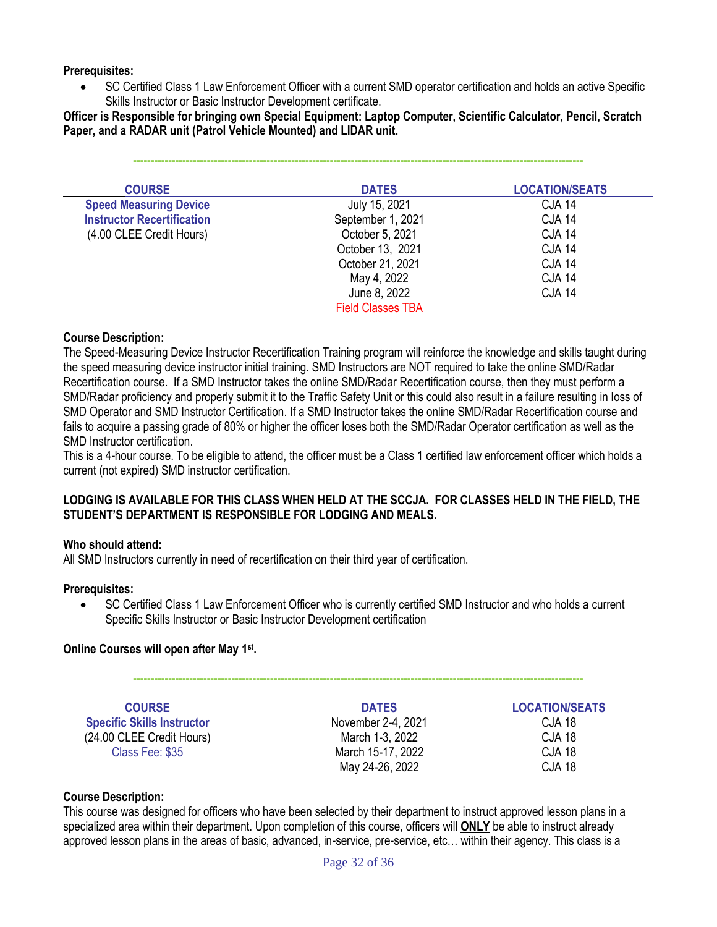#### **Prerequisites:**

• SC Certified Class 1 Law Enforcement Officer with a current SMD operator certification and holds an active Specific Skills Instructor or Basic Instructor Development certificate.

**Officer is Responsible for bringing own Special Equipment: Laptop Computer, Scientific Calculator, Pencil, Scratch Paper, and a RADAR unit (Patrol Vehicle Mounted) and LIDAR unit.**

**--------------------------------------------------------------------------------------------------------------------------------**

| <b>COURSE</b>                     | <b>DATES</b>             | <b>LOCATION/SEATS</b> |
|-----------------------------------|--------------------------|-----------------------|
| <b>Speed Measuring Device</b>     | July 15, 2021            | <b>CJA 14</b>         |
| <b>Instructor Recertification</b> | September 1, 2021        | <b>CJA 14</b>         |
| (4.00 CLEE Credit Hours)          | October 5, 2021          | <b>CJA 14</b>         |
|                                   | October 13, 2021         | <b>CJA 14</b>         |
|                                   | October 21, 2021         | <b>CJA 14</b>         |
|                                   | May 4, 2022              | <b>CJA 14</b>         |
|                                   | June 8, 2022             | <b>CJA 14</b>         |
|                                   | <b>Field Classes TBA</b> |                       |

#### **Course Description:**

The Speed-Measuring Device Instructor Recertification Training program will reinforce the knowledge and skills taught during the speed measuring device instructor initial training. SMD Instructors are NOT required to take the online SMD/Radar Recertification course. If a SMD Instructor takes the online SMD/Radar Recertification course, then they must perform a SMD/Radar proficiency and properly submit it to the Traffic Safety Unit or this could also result in a failure resulting in loss of SMD Operator and SMD Instructor Certification. If a SMD Instructor takes the online SMD/Radar Recertification course and fails to acquire a passing grade of 80% or higher the officer loses both the SMD/Radar Operator certification as well as the SMD Instructor certification.

This is a 4-hour course. To be eligible to attend, the officer must be a Class 1 certified law enforcement officer which holds a current (not expired) SMD instructor certification.

#### **LODGING IS AVAILABLE FOR THIS CLASS WHEN HELD AT THE SCCJA. FOR CLASSES HELD IN THE FIELD, THE STUDENT'S DEPARTMENT IS RESPONSIBLE FOR LODGING AND MEALS.**

#### **Who should attend:**

All SMD Instructors currently in need of recertification on their third year of certification.

#### **Prerequisites:**

• SC Certified Class 1 Law Enforcement Officer who is currently certified SMD Instructor and who holds a current Specific Skills Instructor or Basic Instructor Development certification

#### **Online Courses will open after May 1st .**

| <b>COURSE</b>                     | <b>DATES</b>       | <b>LOCATION/SEATS</b> |
|-----------------------------------|--------------------|-----------------------|
| <b>Specific Skills Instructor</b> | November 2-4, 2021 | <b>CJA 18</b>         |
| (24.00 CLEE Credit Hours)         | March 1-3, 2022    | <b>CJA 18</b>         |
| Class Fee: \$35                   | March 15-17, 2022  | <b>CJA 18</b>         |
|                                   | May 24-26, 2022    | <b>CJA 18</b>         |

#### **Course Description:**

This course was designed for officers who have been selected by their department to instruct approved lesson plans in a specialized area within their department. Upon completion of this course, officers will **ONLY** be able to instruct already approved lesson plans in the areas of basic, advanced, in-service, pre-service, etc… within their agency. This class is a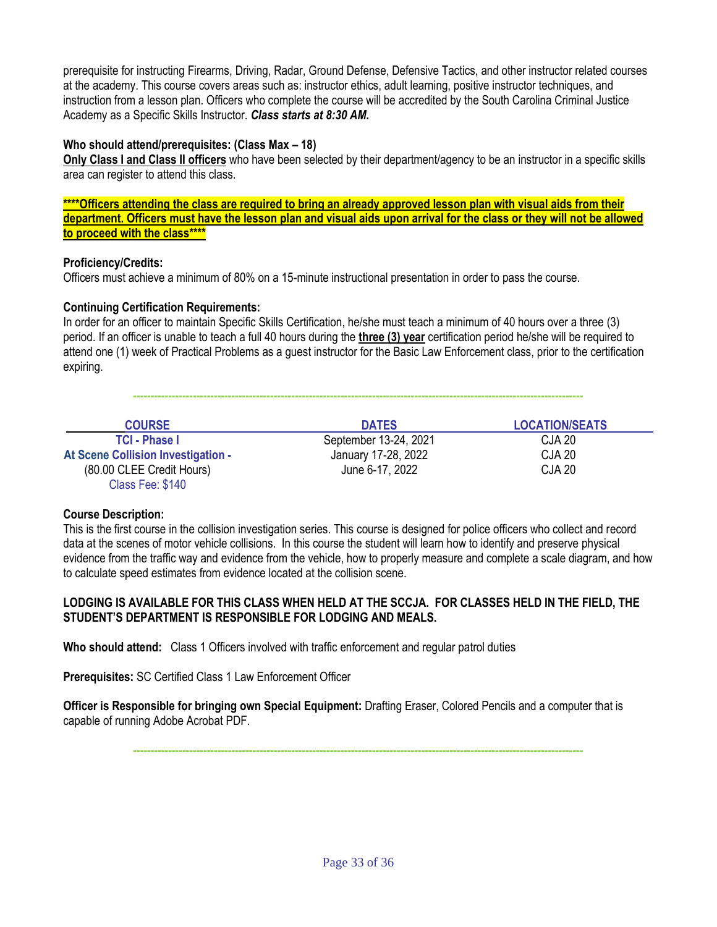prerequisite for instructing Firearms, Driving, Radar, Ground Defense, Defensive Tactics, and other instructor related courses at the academy. This course covers areas such as: instructor ethics, adult learning, positive instructor techniques, and instruction from a lesson plan. Officers who complete the course will be accredited by the South Carolina Criminal Justice Academy as a Specific Skills Instructor. *Class starts at 8:30 AM.*

#### **Who should attend/prerequisites: (Class Max – 18)**

**Only Class I and Class II officers** who have been selected by their department/agency to be an instructor in a specific skills area can register to attend this class.

**\*\*\*\*Officers attending the class are required to bring an already approved lesson plan with visual aids from their department. Officers must have the lesson plan and visual aids upon arrival for the class or they will not be allowed to proceed with the class\*\*\*\***

#### **Proficiency/Credits:**

Officers must achieve a minimum of 80% on a 15-minute instructional presentation in order to pass the course.

#### **Continuing Certification Requirements:**

In order for an officer to maintain Specific Skills Certification, he/she must teach a minimum of 40 hours over a three (3) period. If an officer is unable to teach a full 40 hours during the **three (3) year** certification period he/she will be required to attend one (1) week of Practical Problems as a guest instructor for the Basic Law Enforcement class, prior to the certification expiring.

| <b>COUDE</b> | <b>DATEO</b> | <b>I OCATIONIST ATO</b> |
|--------------|--------------|-------------------------|

| <b>COURSE</b>                      | <b>DATES</b>          | <b>LOCATION/SEATS</b> |
|------------------------------------|-----------------------|-----------------------|
| <b>TCI - Phase I</b>               | September 13-24, 2021 | <b>CJA 20</b>         |
| At Scene Collision Investigation - | January 17-28, 2022   | <b>CJA 20</b>         |
| (80.00 CLEE Credit Hours)          | June 6-17, 2022       | <b>CJA 20</b>         |
| Class Fee: \$140                   |                       |                       |

#### **Course Description:**

This is the first course in the collision investigation series. This course is designed for police officers who collect and record data at the scenes of motor vehicle collisions. In this course the student will learn how to identify and preserve physical evidence from the traffic way and evidence from the vehicle, how to properly measure and complete a scale diagram, and how to calculate speed estimates from evidence located at the collision scene.

#### **LODGING IS AVAILABLE FOR THIS CLASS WHEN HELD AT THE SCCJA. FOR CLASSES HELD IN THE FIELD, THE STUDENT'S DEPARTMENT IS RESPONSIBLE FOR LODGING AND MEALS.**

**Who should attend:** Class 1 Officers involved with traffic enforcement and regular patrol duties

**Prerequisites:** SC Certified Class 1 Law Enforcement Officer

**Officer is Responsible for bringing own Special Equipment:** Drafting Eraser, Colored Pencils and a computer that is capable of running Adobe Acrobat PDF.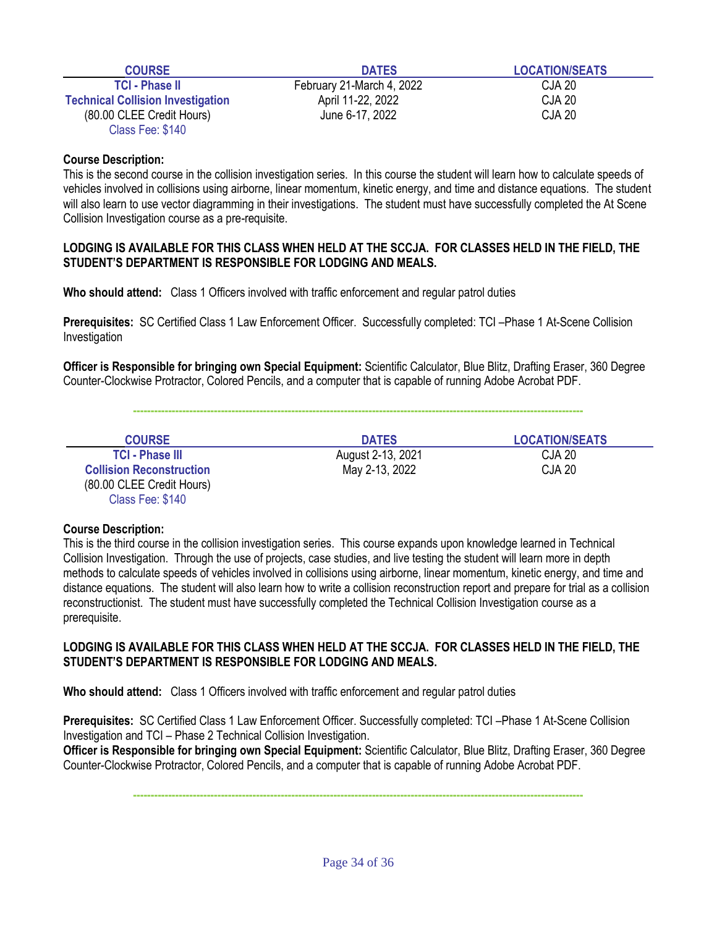| <b>COURSE</b>                            | <b>DATES</b>              | <b>LOCATION/SEATS</b> |
|------------------------------------------|---------------------------|-----------------------|
| <b>TCI - Phase II</b>                    | February 21-March 4, 2022 | CJA 20                |
| <b>Technical Collision Investigation</b> | April 11-22, 2022         | CJA 20                |
| (80.00 CLEE Credit Hours)                | June 6-17, 2022           | CJA 20                |
| Class Fee: \$140                         |                           |                       |

This is the second course in the collision investigation series. In this course the student will learn how to calculate speeds of vehicles involved in collisions using airborne, linear momentum, kinetic energy, and time and distance equations. The student will also learn to use vector diagramming in their investigations. The student must have successfully completed the At Scene Collision Investigation course as a pre-requisite.

#### **LODGING IS AVAILABLE FOR THIS CLASS WHEN HELD AT THE SCCJA. FOR CLASSES HELD IN THE FIELD, THE STUDENT'S DEPARTMENT IS RESPONSIBLE FOR LODGING AND MEALS.**

**Who should attend:** Class 1 Officers involved with traffic enforcement and regular patrol duties

**Prerequisites:** SC Certified Class 1 Law Enforcement Officer. Successfully completed: TCI –Phase 1 At-Scene Collision Investigation

**Officer is Responsible for bringing own Special Equipment:** Scientific Calculator, Blue Blitz, Drafting Eraser, 360 Degree Counter-Clockwise Protractor, Colored Pencils, and a computer that is capable of running Adobe Acrobat PDF.

**--------------------------------------------------------------------------------------------------------------------------------**

| <b>COURSE</b>                   | <b>DATES</b>      | <b>LOCATION/SEATS</b> |
|---------------------------------|-------------------|-----------------------|
| <b>TCI - Phase III</b>          | August 2-13, 2021 | CJA 20                |
| <b>Collision Reconstruction</b> | May 2-13, 2022    | CJA 20                |
| (80.00 CLEE Credit Hours)       |                   |                       |

#### **Course Description:**

Class Fee: \$140

This is the third course in the collision investigation series. This course expands upon knowledge learned in Technical Collision Investigation. Through the use of projects, case studies, and live testing the student will learn more in depth methods to calculate speeds of vehicles involved in collisions using airborne, linear momentum, kinetic energy, and time and distance equations. The student will also learn how to write a collision reconstruction report and prepare for trial as a collision reconstructionist. The student must have successfully completed the Technical Collision Investigation course as a prerequisite.

#### **LODGING IS AVAILABLE FOR THIS CLASS WHEN HELD AT THE SCCJA. FOR CLASSES HELD IN THE FIELD, THE STUDENT'S DEPARTMENT IS RESPONSIBLE FOR LODGING AND MEALS.**

**Who should attend:** Class 1 Officers involved with traffic enforcement and regular patrol duties

**Prerequisites:** SC Certified Class 1 Law Enforcement Officer. Successfully completed: TCI –Phase 1 At-Scene Collision Investigation and TCI – Phase 2 Technical Collision Investigation.

**Officer is Responsible for bringing own Special Equipment:** Scientific Calculator, Blue Blitz, Drafting Eraser, 360 Degree Counter-Clockwise Protractor, Colored Pencils, and a computer that is capable of running Adobe Acrobat PDF.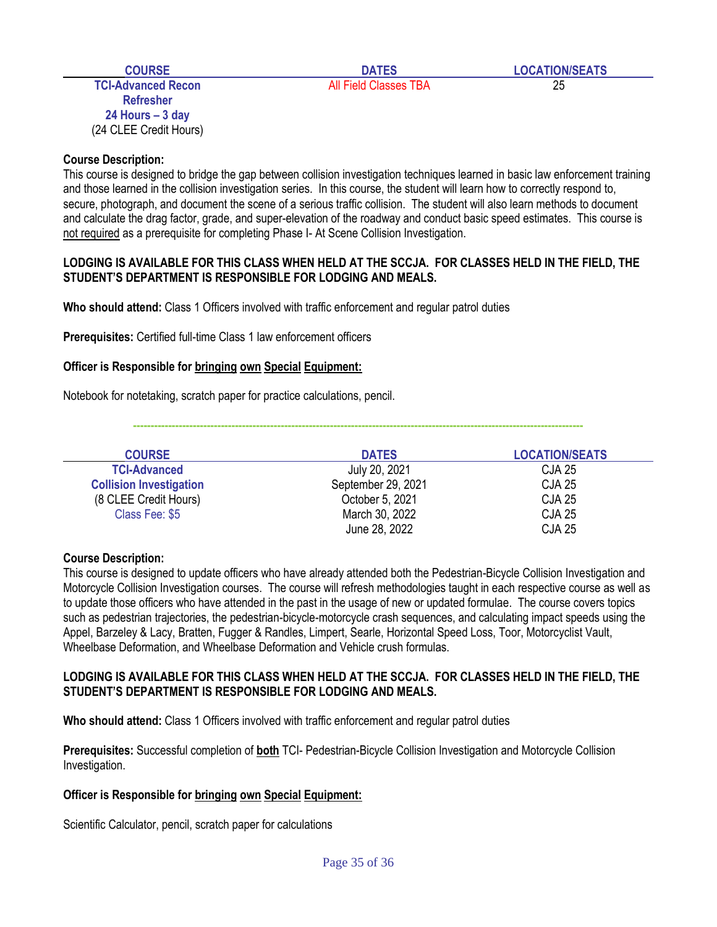**TCI-Advanced Recon** and **All Field Classes TBA** 25 **Refresher 24 Hours – 3 day** (24 CLEE Credit Hours)

#### **Course Description:**

This course is designed to bridge the gap between collision investigation techniques learned in basic law enforcement training and those learned in the collision investigation series. In this course, the student will learn how to correctly respond to, secure, photograph, and document the scene of a serious traffic collision. The student will also learn methods to document and calculate the drag factor, grade, and super-elevation of the roadway and conduct basic speed estimates. This course is not required as a prerequisite for completing Phase I- At Scene Collision Investigation.

#### **LODGING IS AVAILABLE FOR THIS CLASS WHEN HELD AT THE SCCJA. FOR CLASSES HELD IN THE FIELD, THE STUDENT'S DEPARTMENT IS RESPONSIBLE FOR LODGING AND MEALS.**

**Who should attend:** Class 1 Officers involved with traffic enforcement and regular patrol duties

**Prerequisites: Certified full-time Class 1 law enforcement officers** 

#### **Officer is Responsible for bringing own Special Equipment:**

Notebook for notetaking, scratch paper for practice calculations, pencil.

| <b>COURSE</b>                  | <b>DATES</b>       | <b>LOCATION/SEATS</b> |
|--------------------------------|--------------------|-----------------------|
| <b>TCI-Advanced</b>            | July 20, 2021      | CJA 25                |
| <b>Collision Investigation</b> | September 29, 2021 | <b>CJA 25</b>         |
| (8 CLEE Credit Hours)          | October 5, 2021    | <b>CJA 25</b>         |
| Class Fee: \$5                 | March 30, 2022     | <b>CJA 25</b>         |
|                                | June 28, 2022      | <b>CJA 25</b>         |

**--------------------------------------------------------------------------------------------------------------------------------**

#### **Course Description:**

This course is designed to update officers who have already attended both the Pedestrian-Bicycle Collision Investigation and Motorcycle Collision Investigation courses. The course will refresh methodologies taught in each respective course as well as to update those officers who have attended in the past in the usage of new or updated formulae. The course covers topics such as pedestrian trajectories, the pedestrian-bicycle-motorcycle crash sequences, and calculating impact speeds using the Appel, Barzeley & Lacy, Bratten, Fugger & Randles, Limpert, Searle, Horizontal Speed Loss, Toor, Motorcyclist Vault, Wheelbase Deformation, and Wheelbase Deformation and Vehicle crush formulas.

#### **LODGING IS AVAILABLE FOR THIS CLASS WHEN HELD AT THE SCCJA. FOR CLASSES HELD IN THE FIELD, THE STUDENT'S DEPARTMENT IS RESPONSIBLE FOR LODGING AND MEALS.**

**Who should attend:** Class 1 Officers involved with traffic enforcement and regular patrol duties

**Prerequisites:** Successful completion of **both** TCI- Pedestrian-Bicycle Collision Investigation and Motorcycle Collision Investigation.

#### **Officer is Responsible for bringing own Special Equipment:**

Scientific Calculator, pencil, scratch paper for calculations